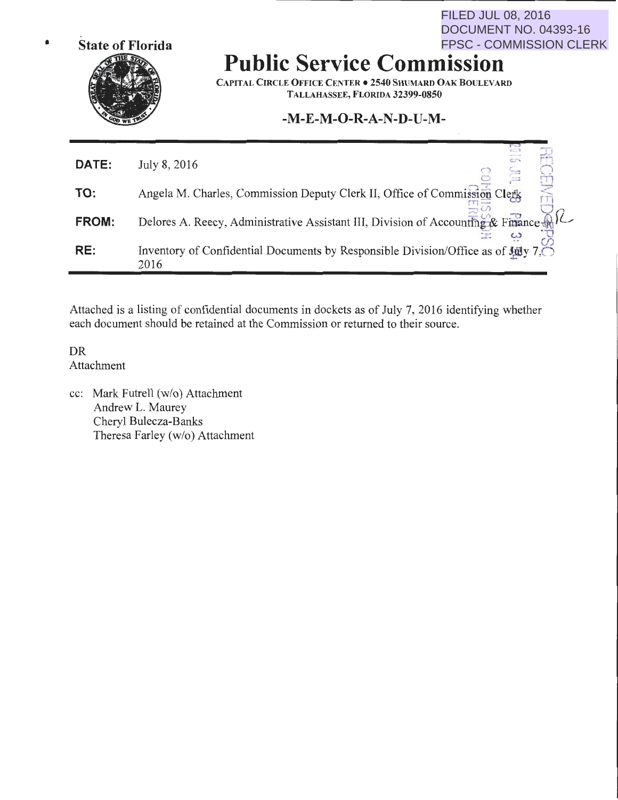

### **Public Service Commission**  FPSC - COMMISSION CLERK

CAPITAL CIRCLE OFFICE CENTER • 2540 SHUMARD OAK BOULEVARD TALLAHASSEE, FLORIDA 32399-0850

FILED JUL 08, 2016

DOCUMENT NO. 04393-16

### **-M-E-M-0-R-A-N-D-U-M-**

| DATE:        | July 8, 2016                                                                              |
|--------------|-------------------------------------------------------------------------------------------|
| TO:          | Angela M. Charles, Commission Deputy Clerk II, Office of Commission Clerk                 |
| <b>FROM:</b> | Delores A. Reecy, Administrative Assistant III, Division of Accounting & Finance A.       |
| RE:          | Inventory of Confidential Documents by Responsible Division/Office as of July 7.0<br>2016 |

Attached is a listing of confidential documents in dockets as of July 7, 2016 identifying whether each document should be retained at the Commission or returned to their source.

DR Attachment

cc: Mark Futrell (w/o) Attachment Andrew L. Maurey Cheryl Bulecza-Banks Theresa Farley (w/o) Attachment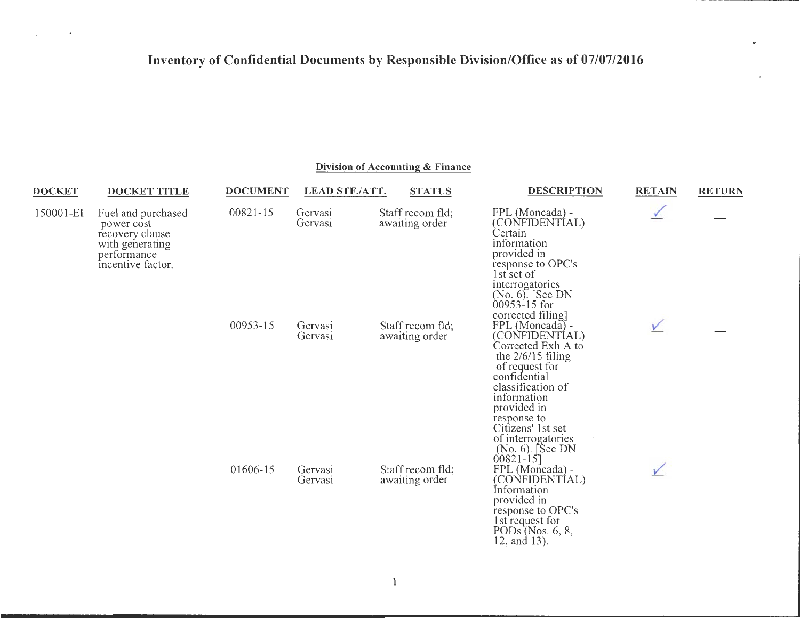U

 $\pmb{\lambda}$ 

s.

### **Division of Accounting & Finance**

| <b>DOCKET</b> | <b>DOCKET TITLE</b>                                                                                        | <b>DOCUMENT</b> | <b>LEAD STF./ATT.</b> | <b>STATUS</b>                      | <b>DESCRIPTION</b>                                                                                                                                                                                                             | <b>RETAIN</b> | <b>RETURN</b> |
|---------------|------------------------------------------------------------------------------------------------------------|-----------------|-----------------------|------------------------------------|--------------------------------------------------------------------------------------------------------------------------------------------------------------------------------------------------------------------------------|---------------|---------------|
| 150001-EI     | Fuel and purchased<br>power cost<br>recovery clause<br>with generating<br>performance<br>incentive factor. | 00821-15        | Gervasi<br>Gervasi    | Staff recom fld;<br>awaiting order | FPL (Moncada) -<br>(CONFIDENTIAL)<br>Certain<br>information<br>provided in<br>response to OPC's<br>1st set of<br>interrogatories<br>$(No. 6)$ . [See DN<br>$00953 - 15$ for                                                    |               |               |
|               |                                                                                                            | 00953-15        | Gervasi<br>Gervasi    | Staff recom fld;<br>awaiting order | corrected filing.<br>FPL (Moncada) -<br>(CONFIDENTIAL)<br>Corrected Exh A to<br>the $2/6/15$ filing<br>of request for<br>confidential<br>classification of<br>information<br>provided in<br>response to                        |               |               |
|               |                                                                                                            | 01606-15        | Gervasi<br>Gervasi    | Staff recom fld;<br>awaiting order | Citizens' 1st set<br>of interrogatories<br>$(No. 6)$ . See DN<br>$00821 - 15$ ]<br>FPL (Moncada) -<br>(CONFIDENTIAL)<br>Information<br>provided in<br>response to OPC's<br>1st request for<br>PODs (Nos. 6, 8,<br>12, and 13). |               |               |

 $\mathbf{1}$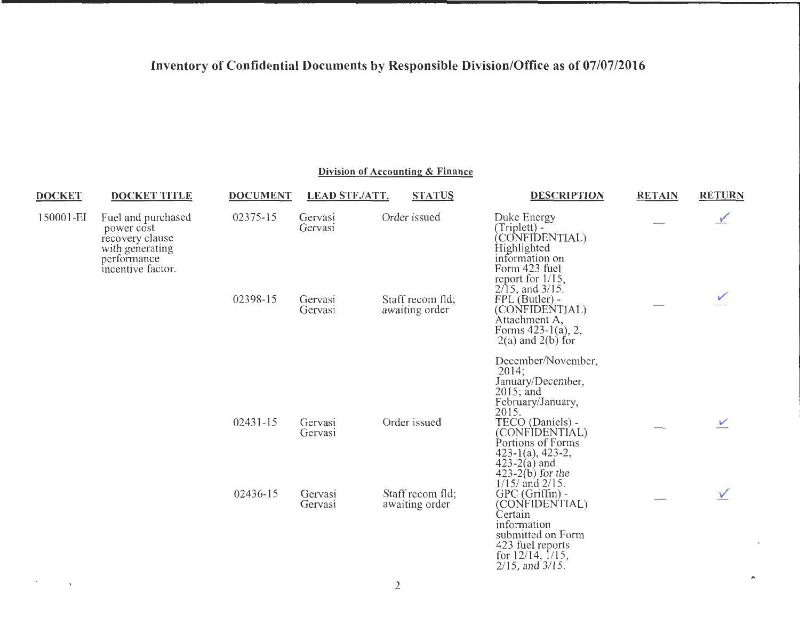### **Division of Accounting & Finance**

 $\equiv$   $\equiv$ 

and the control of

 $\sim$ 

 $\tau$ 

| <b>DOCKET</b>                                                                                                           | <b>DOCKET TITLE</b> | <b>DOCUMENT</b>                | LEAD STF./ATT.                     | <b>STATUS</b>                                                                                    | <b>DESCRIPTION</b>                                                                                                                                                                | <b>RETAIN</b> | <b>RETURN</b> |
|-------------------------------------------------------------------------------------------------------------------------|---------------------|--------------------------------|------------------------------------|--------------------------------------------------------------------------------------------------|-----------------------------------------------------------------------------------------------------------------------------------------------------------------------------------|---------------|---------------|
| 150001-EI<br>Fuel and purchased<br>power cost<br>recovery clause<br>with generating<br>performance<br>incentive factor. |                     | 02375-15                       | Gervasi<br>Gervasi                 | Order issued                                                                                     | Duke Energy<br>$(Triplet) -$<br>CONFIDENTIAL)<br>Highlighted<br>information on<br>Form 423 fuel<br>report for 1/15,<br>$2/15$ , and $3/15$ .                                      |               |               |
|                                                                                                                         |                     | 02398-15<br>Gervasi<br>Gervasi | Staff recom fld;<br>awaiting order | FPL (Butler) -<br>(CONFIDENTIAL)<br>Attachment A,<br>Forms 423-1(a), 2,<br>$2(a)$ and $2(b)$ for |                                                                                                                                                                                   |               |               |
|                                                                                                                         |                     |                                |                                    |                                                                                                  | December/November,<br>2014;<br>January/December,<br>$2015$ ; and<br>February/January,<br>2015.                                                                                    |               |               |
|                                                                                                                         |                     | $02431 - 15$                   | Gervasi<br>Gervasi                 | Order issued                                                                                     | TECO (Daniels) -<br>(CONFIDENTIAL)<br>Portions of Forms<br>$423-1(a)$ , 423-2,<br>$423-2(a)$ and<br>$(423-2(b))$ for the                                                          |               |               |
|                                                                                                                         |                     | 02436-15                       | Gervasi<br>Gervasi                 | Staff recom fld;<br>awaiting order                                                               | $1/15/$ and $2/15$ .<br>$GPC$ (Griffin) -<br>(CONFIDENTIAL)<br>Certain<br>information<br>submitted on Form<br>423 fuel reports<br>for $12/14$ , $1/15$ ,<br>$2/15$ , and $3/15$ . |               |               |

,..

**TAXABLE TEXAS**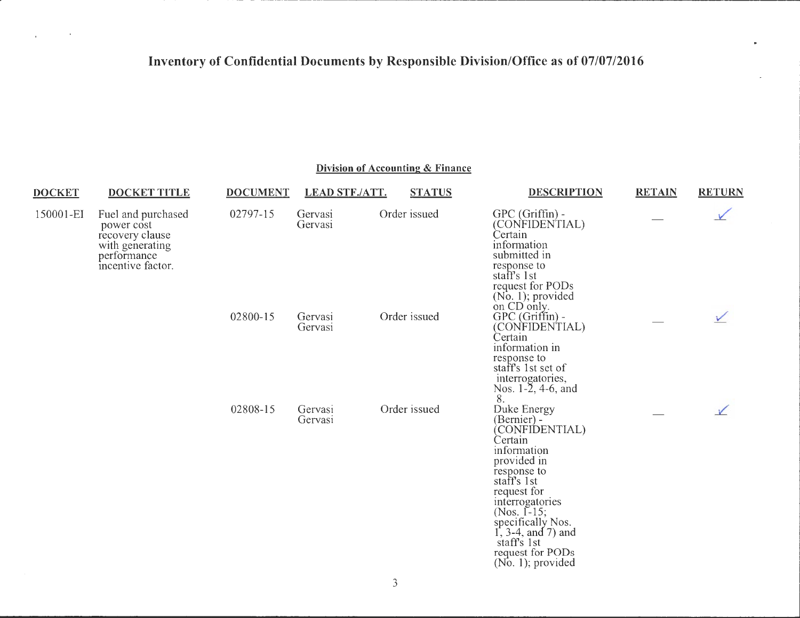| <b>DOCKET</b> | <b>DOCKET TITLE</b>                                                                                        | <b>DOCUMENT</b> | <b>LEAD STF./ATT.</b> | <b>STATUS</b> | <b>DESCRIPTION</b>                                                                                                                                                                                                                                                            | <b>RETAIN</b> | <b>RETURN</b> |
|---------------|------------------------------------------------------------------------------------------------------------|-----------------|-----------------------|---------------|-------------------------------------------------------------------------------------------------------------------------------------------------------------------------------------------------------------------------------------------------------------------------------|---------------|---------------|
| 150001-EI     | Fuel and purchased<br>power cost<br>recovery clause<br>with generating<br>performance<br>incentive factor. | 02797-15        | Gervasi<br>Gervasi    | Order issued  | GPC (Griffin) -<br>(CONFIDENTIAL)<br>Certain<br>information<br>submitted in<br>response to<br>staff's 1st<br>request for PODs<br>$(No, 1)$ ; provided<br>on CD only.                                                                                                          |               |               |
|               |                                                                                                            | 02800-15        | Gervasi<br>Gervasi    | Order issued  | GPC (Griffin) -<br>(CONFIDENTIAL)<br>Certain<br>information in<br>response to<br>staff's 1st set of<br>interrogatories,<br>Nos. 1-2, 4-6, and<br>8.                                                                                                                           |               |               |
|               |                                                                                                            | 02808-15        | Gervasi<br>Gervasi    | Order issued  | Duke Energy<br>(Bernier) -<br>(CONFIDENTIAL)<br>Certain<br>information<br>provided in<br>response to<br>staff's 1st<br>request for<br>interrogatories<br>(Nos. $1-15$ ;<br>specifically Nos.<br>1, 3-4, and 7) and<br>staff's 1st<br>request for PODs<br>$(No. 1)$ ; provided |               |               |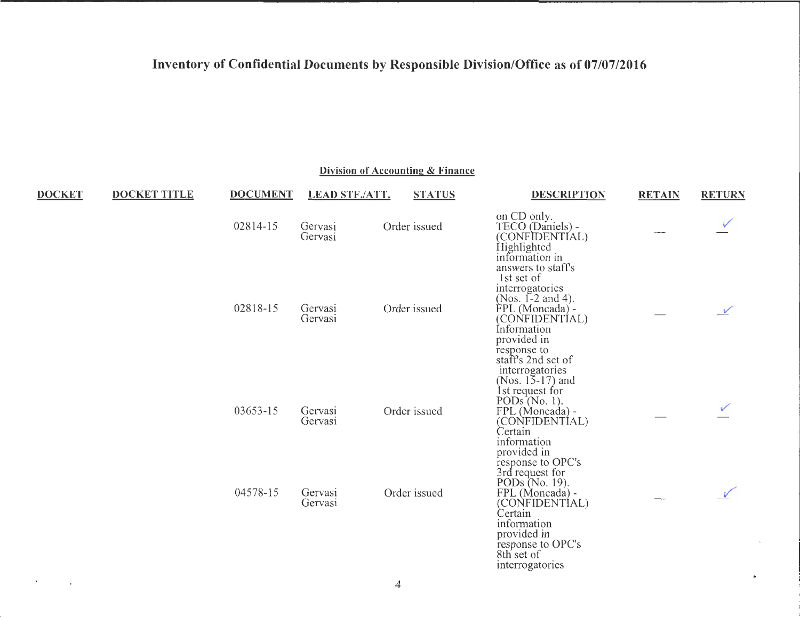Division of Accounting & Finance

| <b>DOCKET</b> | <b>DOCKET TITLE</b> | <b>DOCUMENT</b> | <b>LEAD STF./ATT.</b> | <b>STATUS</b> | <b>DESCRIPTION</b>                                                                                                                                                               | <b>RETAIN</b> | <b>RETURN</b> |
|---------------|---------------------|-----------------|-----------------------|---------------|----------------------------------------------------------------------------------------------------------------------------------------------------------------------------------|---------------|---------------|
|               |                     | 02814-15        | Gervasi<br>Gervasi    | Order issued  | on CD only.<br>TECO (Daniels) -<br>(CONFIDENTIAL)<br>Highlighted<br>information in                                                                                               |               |               |
|               |                     | 02818-15        | Gervasi<br>Gervasi    | Order issued  | answers to staff's<br>1st set of<br>interrogatories<br>(Nos. 1-2 and 4).<br>FPL (Moncada) -<br>(CONFIDENTIAL)<br>Information<br>provided in<br>response to<br>staff's 2nd set of |               | $\checkmark$  |
|               |                     | 03653-15        | Gervasi<br>Gervasi    | Order issued  | interrogatories<br>(Nos. $15-17$ ) and<br>1st request for<br>PODs(No. 1).<br>FPL (Moncada) -<br>(CONFIDENTIAL)<br>Certain<br>information<br>provided in<br>response to OPC's     |               |               |
|               |                     | 04578-15        | Gervasi<br>Gervasi    | Order issued  | 3rd request for<br>PODs (No. 19).<br>FPL (Moncada) -<br>(CONFIDENTÍAL)<br>Certain<br>information<br>provided in<br>response to OPC's<br>8th set of<br>interrogatories            |               |               |

 $\mathbf{t}$ 

 $\mathcal{L}_{\mathcal{A}}$ 

a.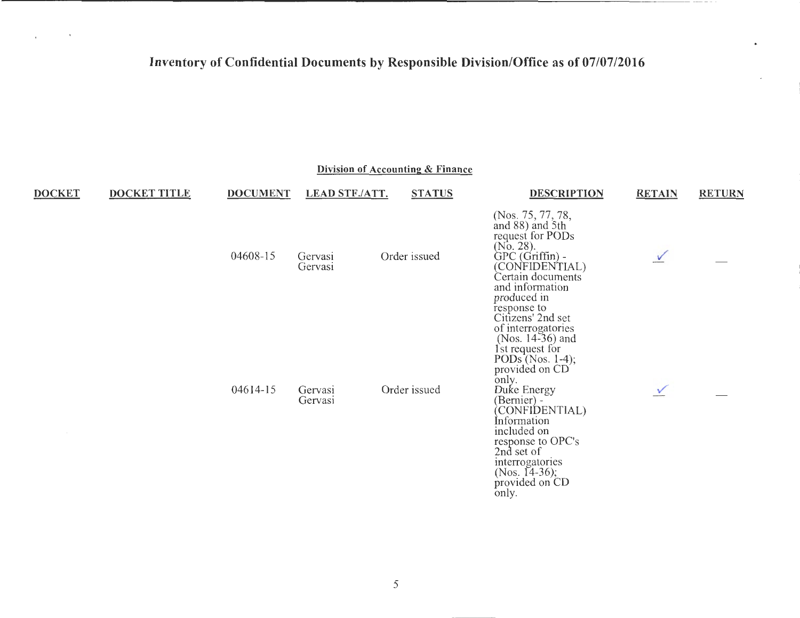$\sim$ 

 $\sim$   $\sim$ 

 $-111$ 

**Contract Contract** 

 $\mathbf{r}$ 

|               |                     |                 |                       | Division of Accounting & Finance |                                                                                                                                                                                                                                                                                                                    |               |               |
|---------------|---------------------|-----------------|-----------------------|----------------------------------|--------------------------------------------------------------------------------------------------------------------------------------------------------------------------------------------------------------------------------------------------------------------------------------------------------------------|---------------|---------------|
| <b>DOCKET</b> | <b>DOCKET TITLE</b> | <b>DOCUMENT</b> | <b>LEAD STF./ATT.</b> | <b>STATUS</b>                    | <b>DESCRIPTION</b>                                                                                                                                                                                                                                                                                                 | <b>RETAIN</b> | <b>RETURN</b> |
|               |                     | 04608-15        | Gervasi<br>Gervasi    | Order issued                     | (Nos. 75, 77, 78,<br>and 88) and 5th<br>request for PODs<br>(No. 28).<br>GPC (Griffin) -<br>(CONFIDENTIAL)<br>Certain documents<br>and information<br>produced in                                                                                                                                                  | $\sqrt{ }$    |               |
|               |                     | $04614-15$      | Gervasi<br>Gervasi    | Order issued                     | response to<br>Citizens' 2nd set<br>of interrogatories<br>(Nos. 14-36) and<br>1st request for<br>PODs <sup><math>^{\prime}</math></sup> (Nos. 1-4);<br>provided on CD<br>only.<br>Duke Energy<br>(Bernier) -<br>(CONFIDENTIAL)<br>Information<br>included on<br>response to OPC's<br>2nd set of<br>interrogatories | $\checkmark$  |               |
|               |                     |                 |                       |                                  | (Nos. $14-36$ );<br>provided on CD<br>only.                                                                                                                                                                                                                                                                        |               |               |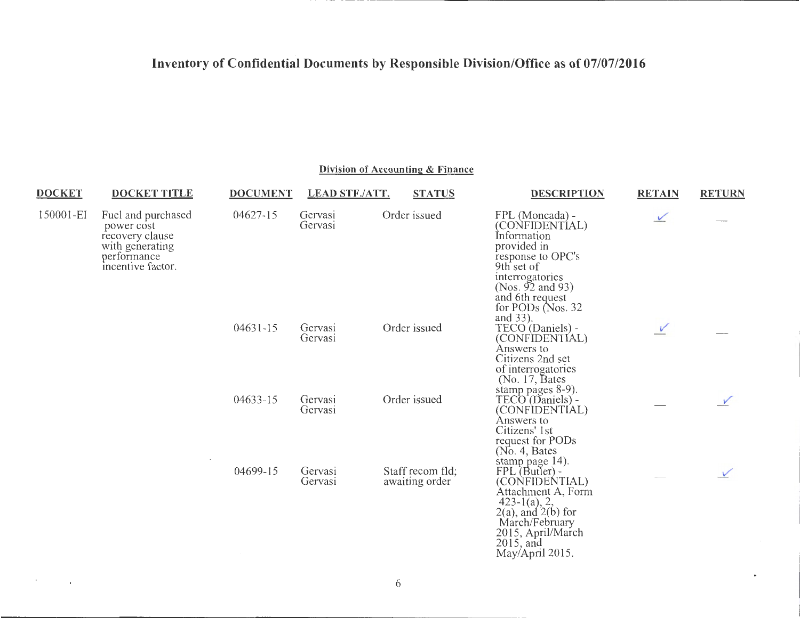--- -- ----------

---

#### **Division of Accounting & Finance**

| <b>DOCKET</b> | <b>DOCKET TITLE</b>                                                                                        | <b>DOCUMENT</b> | LEAD STF./ATT.     | <b>STATUS</b>                      | <b>DESCRIPTION</b>                                                                                                                                                                                     | <b>RETAIN</b> | <b>RETURN</b> |
|---------------|------------------------------------------------------------------------------------------------------------|-----------------|--------------------|------------------------------------|--------------------------------------------------------------------------------------------------------------------------------------------------------------------------------------------------------|---------------|---------------|
| 150001-EI     | Fuel and purchased<br>power cost<br>recovery clause<br>with generating<br>performance<br>incentive factor. | 04627-15        | Gervasi<br>Gervasi | Order issued                       | FPL (Moncada) -<br>(CONFIDENTIAL)<br>Information<br>provided in<br>response to OPC's<br>9th set of<br>interrogatories<br>(Nos. $92$ and $93$ )<br>and 6th request<br>for PODs ( $N$ os. 32<br>and 33). | $\sqrt{ }$    |               |
|               |                                                                                                            | $04631 - 15$    | Gervasi<br>Gervasi | Order issued                       | TECO (Daniels) -<br>(CONFIDENTIAL)<br>Answers to<br>Citizens 2nd set<br>of interrogatories<br>(No. 17, Bates)                                                                                          | $\sqrt{ }$    |               |
|               |                                                                                                            | 04633-15        | Gervasi<br>Gervasi | Order issued                       | stamp pages 8-9).<br>TECO (Daniels) -<br>(CONFIDENTIAL)<br>Answers to<br>Citizens' 1st<br>request for PODs<br>(No. 4, Bates)                                                                           |               |               |
|               |                                                                                                            | 04699-15        | Gervasi<br>Gervasi | Staff recom fld;<br>awaiting order | stamp page 14).<br>FPL (Butler) -<br>(CONFIDENTIAL)<br>Attachment A, Form<br>$423-1(a), 2,$<br>$2(a)$ , and $2(b)$ for<br>March/February<br>2015, April/March<br>$2015$ , and<br>May/April 2015.       |               |               |

6

 $\overline{a}$ 

 $\mathbf{r}$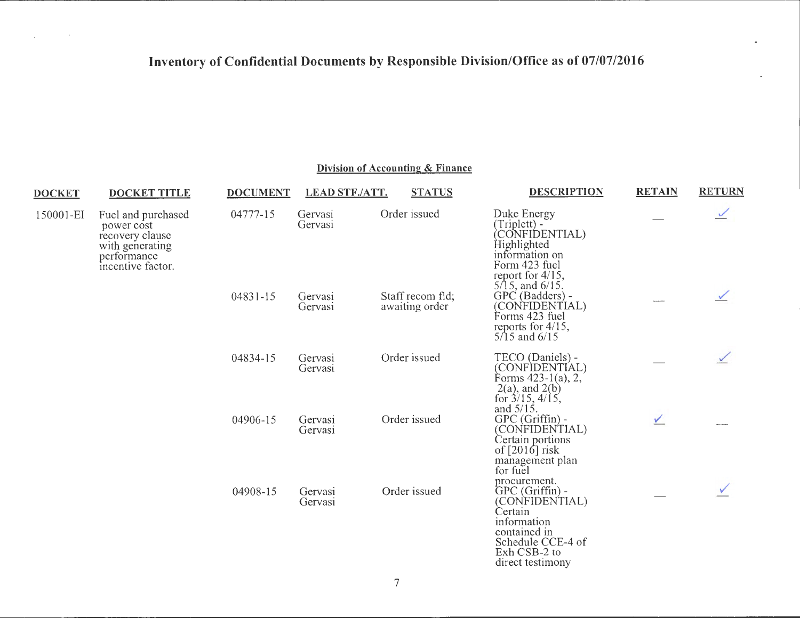#### **Division of Accounting & Finance**

 $\frac{1}{2}$  and  $\frac{1}{2}$  and  $\frac{1}{2}$  and  $\frac{1}{2}$ 

| <b>DOCKET</b>                                                                                                           | <b>DOCKET TITLE</b> | <b>DOCUMENT</b> | <b>LEAD STF./ATT.</b> | <b>STATUS</b>                      | <b>DESCRIPTION</b>                                                                                                                                    | <b>RETAIN</b> | <b>RETURN</b> |
|-------------------------------------------------------------------------------------------------------------------------|---------------------|-----------------|-----------------------|------------------------------------|-------------------------------------------------------------------------------------------------------------------------------------------------------|---------------|---------------|
| 150001-EI<br>Fuel and purchased<br>power cost<br>recovery clause<br>with generating<br>performance<br>incentive factor. |                     | 04777-15        | Gervasi<br>Gervasi    | Order issued                       | Duke Energy<br>(Triplett) -<br>CONFIDENTIAL)<br>Highlighted<br>information on<br>Form 423 fuel<br>report for $4/15$ ,<br>$5/15$ , and $6/15$ .        |               |               |
|                                                                                                                         |                     | $04831 - 15$    | Gervasi<br>Gervasi    | Staff recom fld:<br>awaiting order | GPC (Badders) -<br>(CONFIDENTIAL)<br>Forms 423 fuel<br>reports for $4/15$ ,<br>$5/15$ and $6/15$                                                      | مستعدده       |               |
|                                                                                                                         |                     | 04834-15        | Gervasi<br>Gervasi    | Order issued                       | TECO (Daniels) -<br>(CONFIDENTIAL)<br>Forms $423-1(a)$ , 2,<br>$2(a)$ , and $2(b)$<br>for $3/15$ , $4/15$ ,<br>and $5/15$ .                           |               |               |
|                                                                                                                         |                     | 04906-15        | Gervasi<br>Gervasi    | Order issued                       | GPC (Griffin) -<br>(CONFIDENTIAL)<br>Certain portions<br>of $[2016]$ risk<br>management plan<br>for fuel                                              | $\sqrt{}$     |               |
|                                                                                                                         |                     | 04908-15        | Gervasi<br>Gervasi    | Order issued                       | procurement.<br>$GPC(Griffin) -$<br>(CONFIDENTIAL)<br>Certain<br>information<br>contained in<br>Schedule CCE-4 of<br>Exh CSB-2 to<br>direct testimony |               |               |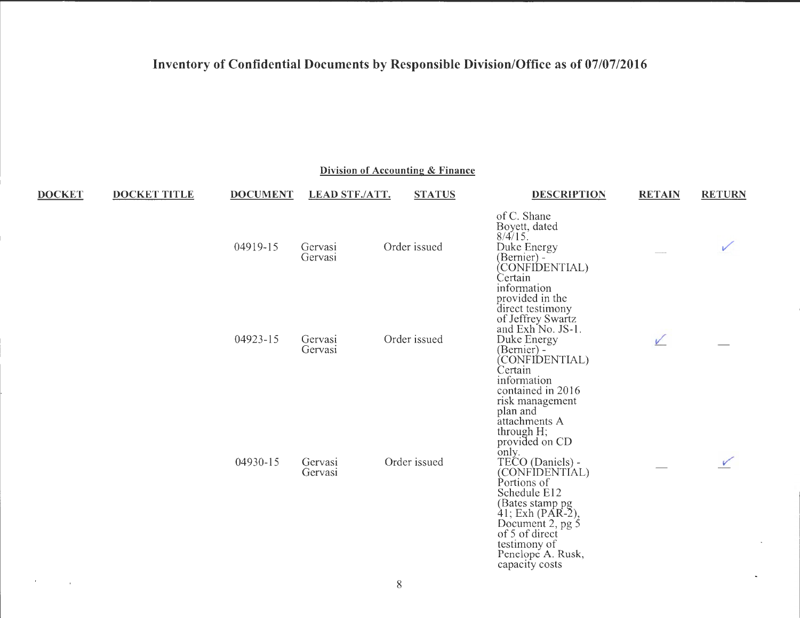|               | Division of Accounting & Finance |                 |                       |               |                                                                                                                                                                                                                                                                                                  |               |               |  |  |  |
|---------------|----------------------------------|-----------------|-----------------------|---------------|--------------------------------------------------------------------------------------------------------------------------------------------------------------------------------------------------------------------------------------------------------------------------------------------------|---------------|---------------|--|--|--|
| <b>DOCKET</b> | <b>DOCKET TITLE</b>              | <b>DOCUMENT</b> | <b>LEAD STF./ATT.</b> | <b>STATUS</b> | <b>DESCRIPTION</b>                                                                                                                                                                                                                                                                               | <b>RETAIN</b> | <b>RETURN</b> |  |  |  |
|               |                                  | 04919-15        | Gervasi<br>Gervasi    | Order issued  | of C. Shane<br>Boyett, dated<br>8/4/15.<br>Duke Energy<br>(Bernier) -<br>(CONFIDENTIAL)<br>Certain                                                                                                                                                                                               |               |               |  |  |  |
|               |                                  | 04923-15        | Gervasi<br>Gervasi    | Order issued  | information<br>provided in the<br>direct testimony<br>of Jeffrey Swartz<br>and Exh <sup>No. JS-1.</sup><br>Duke Energy<br>(Bernier) -<br>(CONFIDENTIAL)<br>Certain<br>information<br>contained in 2016                                                                                           | V             |               |  |  |  |
|               |                                  | 04930-15        | Gervasi<br>Gervasi    | Order issued  | risk management<br>plan and<br>attachments A<br>through H;<br>provided on CD<br>only.<br>TECO (Daniels) -<br>(CONFIDENTIAL)<br>Portions of<br>Schedule E12<br>(Bates stamp pg<br>$41;$ Exh (PAR-2),<br>Document 2, pg 5<br>of 5 of direct<br>testimony of<br>Penelope A. Rusk,<br>capacity costs |               |               |  |  |  |
| $\sim 10^7$   |                                  |                 |                       | $8\,$         |                                                                                                                                                                                                                                                                                                  |               |               |  |  |  |

 $\ddot{\phantom{a}}$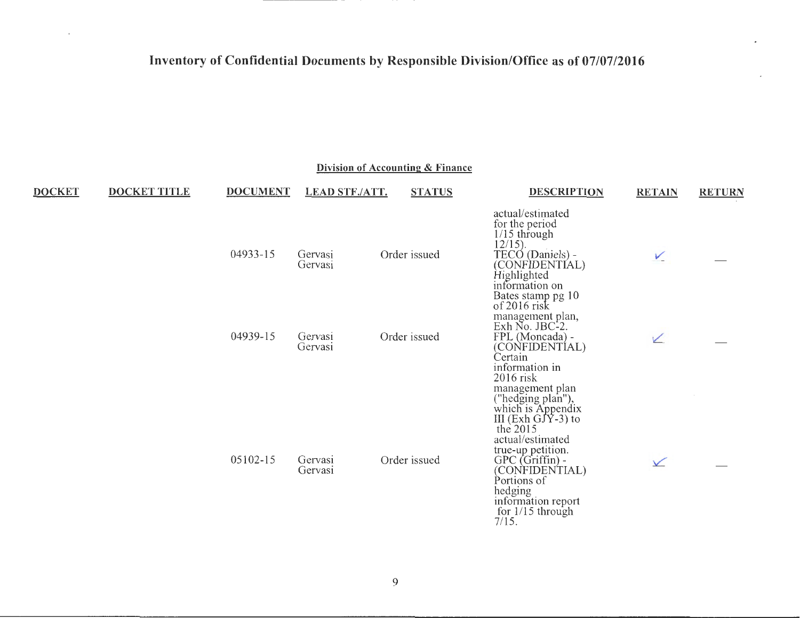$\mathcal{C}$ 

| Division of Accounting & Finance |                     |                 |                       |  |               |                                                                                                                                                                                                                                |               |               |  |  |
|----------------------------------|---------------------|-----------------|-----------------------|--|---------------|--------------------------------------------------------------------------------------------------------------------------------------------------------------------------------------------------------------------------------|---------------|---------------|--|--|
| <b>DOCKET</b>                    | <b>DOCKET TITLE</b> | <b>DOCUMENT</b> | <b>LEAD STF./ATT.</b> |  | <b>STATUS</b> | <b>DESCRIPTION</b>                                                                                                                                                                                                             | <b>RETAIN</b> | <b>RETURN</b> |  |  |
|                                  |                     | 04933-15        | Gervasi<br>Gervasi    |  | Order issued  | actual/estimated<br>for the period<br>$1/15$ through<br>$12/15$ ).<br>TECO (Daniels) -<br>(CONFIDENTIAL)<br>Highlighted<br>information on                                                                                      | $\sqrt{ }$    |               |  |  |
|                                  |                     | 04939-15        | Gervasi<br>Gervasi    |  | Order issued  | Bates stamp pg 10<br>of 2016 risk<br>management plan,<br>Exh No. JBC-2.<br>FPL (Moncada) -<br>(CONFIDENTÍAL)<br>Certain<br>information in<br>$2016$ risk<br>management plan                                                    | ↙             |               |  |  |
|                                  |                     | 05102-15        | Gervasi<br>Gervasi    |  | Order issued  | ("hedging plan"),<br>which is Appendix<br>III (Exh GJY-3) to<br>the $2015$<br>actual/estimated<br>true-up petition.<br>GPC (Griffin) -<br>(CONFIDENTIAL)<br>Portions of<br>hedging<br>information report<br>for $1/15$ through | $\sqrt{}$     |               |  |  |

7/15.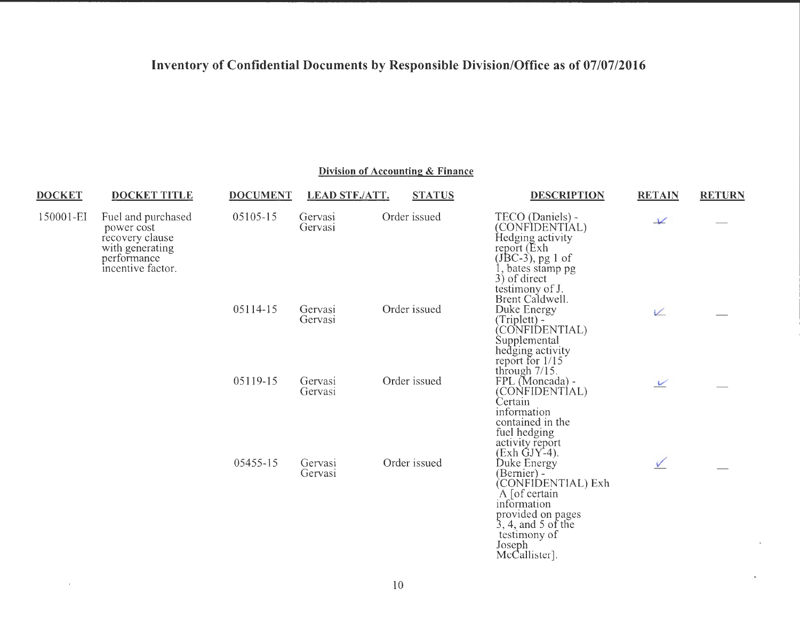| <b>DOCKET</b> | <b>DOCKET TITLE</b>                                                                                        | <b>DOCUMENT</b> | <b>LEAD STF./ATT.</b> | <b>STATUS</b> | <b>DESCRIPTION</b>                                                                                                                                                                          | <b>RETAIN</b>              | <b>RETURN</b> |
|---------------|------------------------------------------------------------------------------------------------------------|-----------------|-----------------------|---------------|---------------------------------------------------------------------------------------------------------------------------------------------------------------------------------------------|----------------------------|---------------|
| 150001-EI     | Fuel and purchased<br>power cost<br>recovery clause<br>with generating<br>performance<br>incentive factor. | 05105-15        | Gervasi<br>Gervasi    | Order issued  | TECO (Daniels) -<br>(CONFIDENTÍAL)<br>Hedging activity<br>report (Exh<br>$(JBC-3)$ , pg 1 of<br>1, bates stamp pg<br>3) of direct<br>testimony of J.                                        | $\checkmark$               |               |
|               |                                                                                                            | 05114-15        | Gervasi<br>Gervasi    | Order issued  | Brent Caldwell.<br>Duke Energy<br>(Triplett) -<br>CONFIDENTIAL)<br>Supplemental                                                                                                             | V                          |               |
|               |                                                                                                            | 05119-15        | Gervasi<br>Gervasi    | Order issued  | hedging activity<br>report for 1/15<br>through 7/15.<br>FPL (Moncada)<br>(CONFIDENTÍAL)<br>Certain<br>information<br>contained in the<br>fuel hedging<br>activity report                    | $\boldsymbol{\mathcal{V}}$ |               |
|               |                                                                                                            | 05455-15        | Gervasi<br>Gervasi    | Order issued  | $(Exh$ GJY-4).<br>Duke Energy<br>(Bernier) -<br>(CONFIDENTIAL) Exh<br>A [of certain]<br>information<br>provided on pages<br>$3, 4,$ and 5 of the<br>testimony of<br>Joseph<br>McCallister]. |                            |               |

### **Division of Accounting & Finance**

 $\sim$ 

 $\epsilon$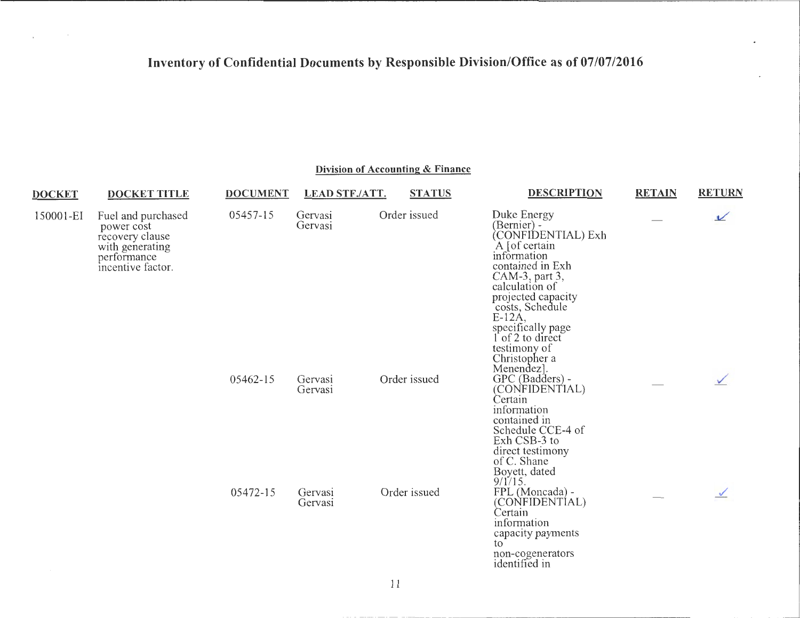$\sim$ 

 $\mathbf{r}$ 

| <b>DOCKET</b> | <b>DOCKET TITLE</b>                                                                                        | <b>DOCUMENT</b> | <b>LEAD STF./ATT.</b> | <b>STATUS</b> | <b>DESCRIPTION</b>                                                                                                                                                                                                                                                    | <b>RETAIN</b> | <b>RETURN</b> |
|---------------|------------------------------------------------------------------------------------------------------------|-----------------|-----------------------|---------------|-----------------------------------------------------------------------------------------------------------------------------------------------------------------------------------------------------------------------------------------------------------------------|---------------|---------------|
| 150001-EI     | Fuel and purchased<br>power cost<br>recovery clause<br>with generating<br>performance<br>incentive factor. | 05457-15        | Gervasi<br>Gervasi    | Order issued  | Duke Energy<br>(Bernier) -<br>(CONFIDENTIAL) Exh<br>A [of certain]<br>information<br>contained in Exh<br>CAM-3, part 3,<br>calculation of<br>projected capacity<br>costs, Schedule<br>$E-12A$<br>specifically page<br>of 2 to direct<br>testimony of<br>Christopher a |               | ⊻             |
|               |                                                                                                            | 05462-15        | Gervasi<br>Gervasi    | Order issued  | Menendez.<br>GPC (Badders) -<br>(CONFIDENTIAL)<br>Certain<br>information<br>contained in<br>Schedule CCE-4 of<br>Exh CSB-3 to<br>direct testimony<br>of C. Shane<br>Boyett, dated<br>9/1/15.                                                                          |               |               |
|               |                                                                                                            | 05472-15        | Gervasi<br>Gervasi    | Order issued  | FPL (Moncada) -<br>(CONFIDENTIAL)<br>Certain<br>information<br>capacity payments<br>to<br>non-cogenerators<br>identified in                                                                                                                                           |               |               |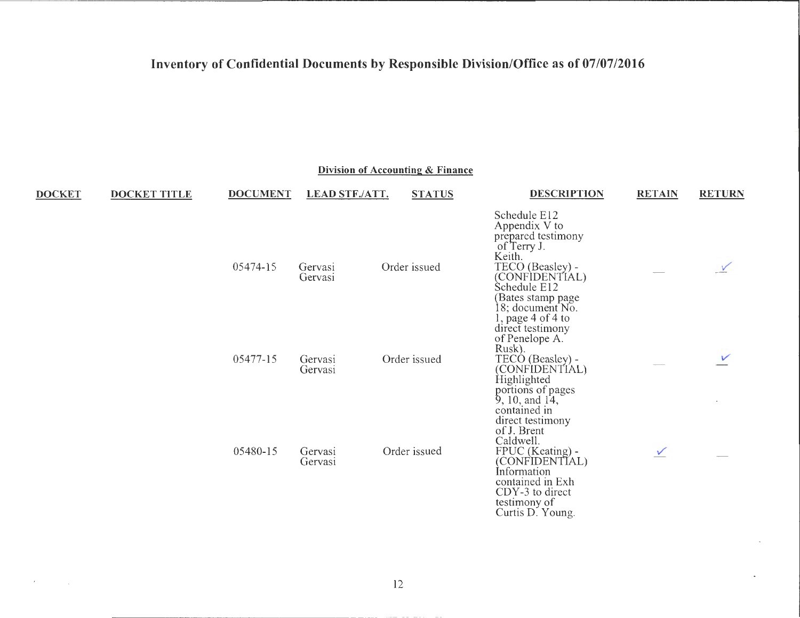|               |                     |                 |                       | Division of Accounting & Finance |                                                                                                                                                                                                                      |               |               |
|---------------|---------------------|-----------------|-----------------------|----------------------------------|----------------------------------------------------------------------------------------------------------------------------------------------------------------------------------------------------------------------|---------------|---------------|
| <b>DOCKET</b> | <b>DOCKET TITLE</b> | <b>DOCUMENT</b> | <b>LEAD STF./ATT.</b> | <b>STATUS</b>                    | <b>DESCRIPTION</b>                                                                                                                                                                                                   | <b>RETAIN</b> | <b>RETURN</b> |
|               |                     | 05474-15        | Gervasi<br>Gervasi    | Order issued                     | Schedule E12<br>Appendix V to<br>prepared testimony<br>of Terry J.<br>Keith.<br>TECO (Beasley) -<br>(CONFIDENTIAL)<br>Schedule E12<br>(Bates stamp page<br>18; document No.<br>l, page 4 of 4 to<br>direct testimony |               |               |
|               |                     | 05477-15        | Gervasi<br>Gervasi    | Order issued                     | of Penelope A.<br>Rusk).<br>TECÓ (Beasley) -<br>(CONFIDENTIAL)<br>Highlighted<br>portions of pages<br>$9, 10,$ and $14,$                                                                                             |               | V             |
|               |                     | 05480-15        | Gervasi<br>Gervasi    | Order issued                     | contained in<br>direct testimony<br>of J. Brent<br>Caldwell.<br>FPUC (Keating) -<br>(CONFIDENTIAL)<br>Information<br>contained in Exh<br>CDY-3 to direct<br>testimony of                                             | $\checkmark$  |               |

 $\mathcal{F}$ 

Curtis D. Young.

 $\ddot{\phantom{0}}$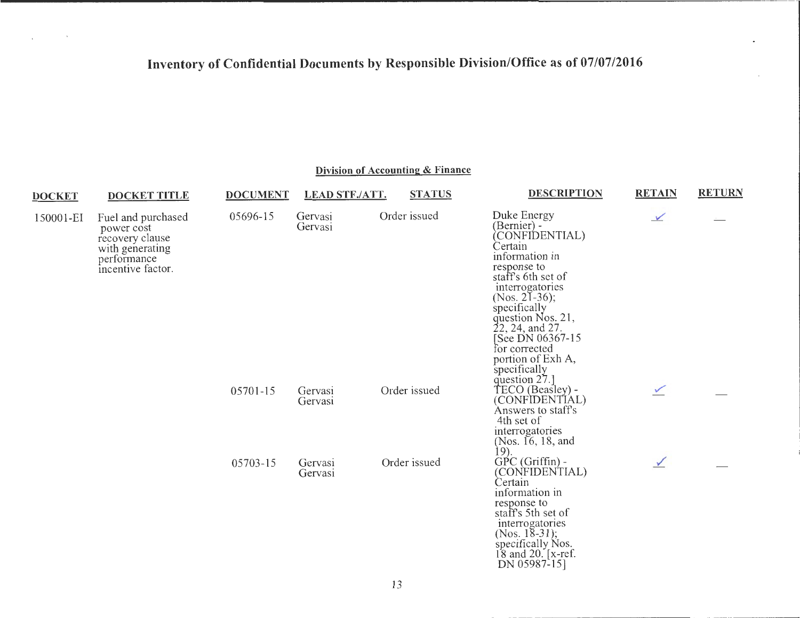$\sim 10^{-10}$ 

 $\mathcal{L}^{\mathcal{L}}$ 

| Division of Accounting & Finance |                                                                                                            |                 |                       |               |                                                                                                                                                                                                                                                                                                     |               |               |  |
|----------------------------------|------------------------------------------------------------------------------------------------------------|-----------------|-----------------------|---------------|-----------------------------------------------------------------------------------------------------------------------------------------------------------------------------------------------------------------------------------------------------------------------------------------------------|---------------|---------------|--|
| <b>DOCKET</b>                    | <b>DOCKET TITLE</b>                                                                                        | <b>DOCUMENT</b> | <b>LEAD STF./ATT.</b> | <b>STATUS</b> | <b>DESCRIPTION</b>                                                                                                                                                                                                                                                                                  | <b>RETAIN</b> | <b>RETURN</b> |  |
| 150001-EI                        | Fuel and purchased<br>power cost<br>recovery clause<br>with generating<br>performance<br>incentive factor. | 05696-15        | Gervasi<br>Gervasi    | Order issued  | Duke Energy<br>(Bernier) -<br>CONFIDENTIAL)<br>Certain<br>information in<br>response to<br>staff's 6th set of<br>interrogatories<br>(Nos. 21-36);<br>specifically<br>question Nos. 21,<br>22, 24, and 27.<br>See DN 06367-15<br>for corrected<br>portion of Exh A,<br>specifically<br>question 27.] | $\checkmark$  |               |  |
|                                  |                                                                                                            | 05701-15        | Gervasi<br>Gervasi    | Order issued  | TECO (Beasley) -<br>(CONFIDENTIAL)<br>Answers to staff's<br>4th set of<br>interrogatories<br>(Nos. 16, 18, and<br><u>19).</u>                                                                                                                                                                       | $\checkmark$  |               |  |
|                                  |                                                                                                            | 05703-15        | Gervasi<br>Gervasi    | Order issued  | $GPC(Griffin)$ -<br>(CONFIDENTIAL)<br>Certain<br>information in<br>response to<br>staff's 5th set of<br>interrogatories<br>(Nos. $18-31$ );<br>specifically Nos.                                                                                                                                    | $\checkmark$  |               |  |

#### 13

18 and 20. [x-ref. DN 05987-15]

.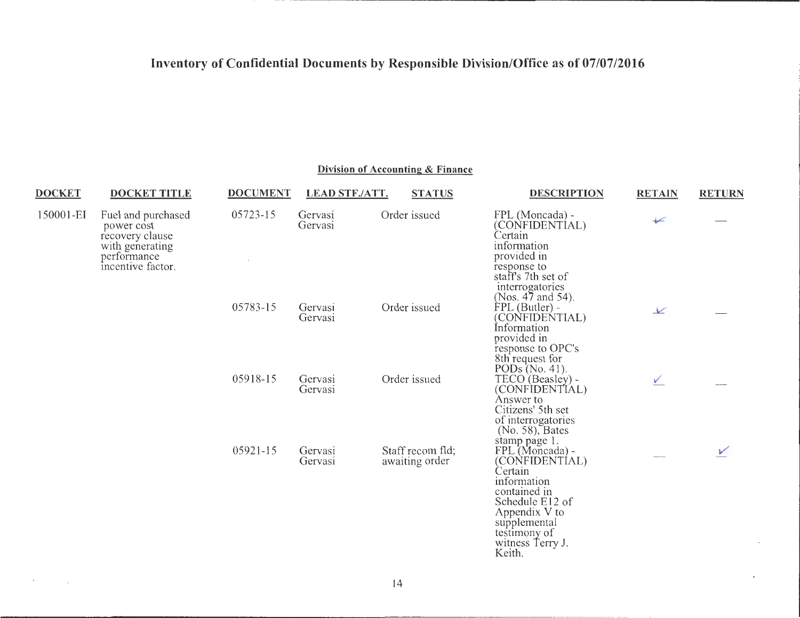#### **Division of Accounting & Finance**

| <u>DOCKET</u>                                                                                     | <b>DOCKET TITLE</b> | <b>DOCUMENT</b> | LEAD STF./ATT.     | <b>STATUS</b>                      | DESCRIPTION                                                                                                                                                                                                       | <b>RETAIN</b> | <b>RETURN</b> |
|---------------------------------------------------------------------------------------------------|---------------------|-----------------|--------------------|------------------------------------|-------------------------------------------------------------------------------------------------------------------------------------------------------------------------------------------------------------------|---------------|---------------|
| 150001-EI<br>power cost<br>recovery clause<br>with generating<br>performance<br>incentive factor. | Fuel and purchased  | 05723-15        | Gervasi<br>Gervasi | Order issued                       | FPL (Moncada) -<br>(CONFIDENTÍAL)<br>Certain<br>information<br>provided in<br>response to<br>staff's 7th set of<br>interrogatories                                                                                | $\sqrt{}$     |               |
|                                                                                                   |                     | 05783-15        | Gervasi<br>Gervasi | Order issued                       | (Nos. 47 and 54).<br>FPL (Butler) -<br>(CONFIDENTIAL)<br>Information<br>provided in<br>response to OPC's                                                                                                          | $\vee$        |               |
|                                                                                                   |                     | 05918-15        | Gervasi<br>Gervasi | Order issued                       | 8th request for<br>PODs $(No. 41)$ .<br>TECO (Beasley) -<br>(CONFIDENTIAL)<br>Answer to<br>Citizens' 5th set<br>of interrogatories                                                                                | V.            |               |
|                                                                                                   |                     | 05921-15        | Gervasi<br>Gervasi | Staff recom fld:<br>awaiting order | (No. 58), Bates<br>stamp page 1.<br>FPL (Moncada) -<br>(CONFIDENTÍAL)<br>Certain<br>information<br>contained in<br>Schedule E12 of<br>Appendix V to<br>supplemental<br>testimony of<br>witness Terry J.<br>Keith. |               |               |

**Contract Contract Contract Contract** 

 $\epsilon$ 

 $\sim$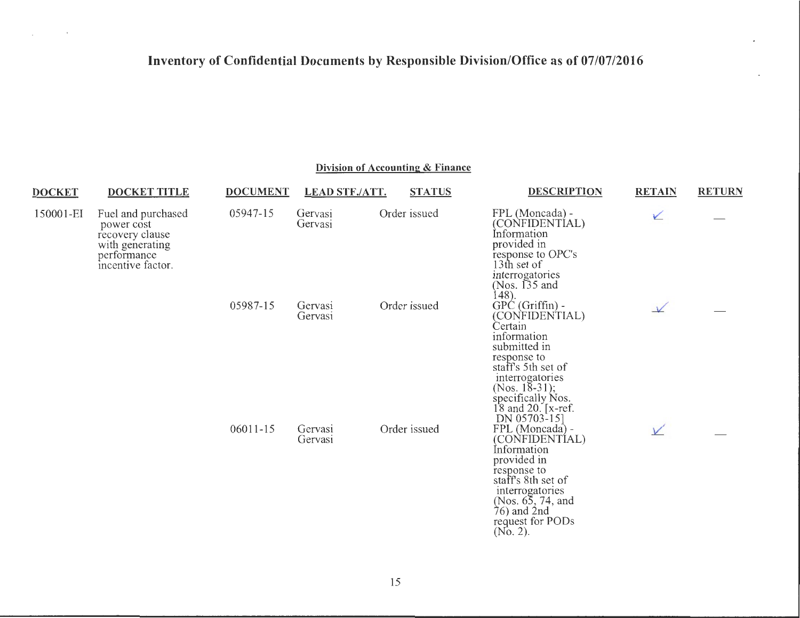and the control of

| <b>DOCKET</b>                                                                                                           | <b>DOCKET TITLE</b> | <b>DOCUMENT</b> | <b>LEAD STF./ATT.</b> | <b>STATUS</b> | <b>DESCRIPTION</b>                                                                                                                                                                                                    | <b>RETAIN</b> | <b>RETURN</b> |
|-------------------------------------------------------------------------------------------------------------------------|---------------------|-----------------|-----------------------|---------------|-----------------------------------------------------------------------------------------------------------------------------------------------------------------------------------------------------------------------|---------------|---------------|
| 150001-EI<br>Fuel and purchased<br>power cost<br>recovery clause<br>with generating<br>performance<br>incentive factor. |                     | 05947-15        | Gervasi<br>Gervasi    | Order issued  | FPL (Moncada) -<br>(CONFIDENTIAL)<br>Information<br>provided in<br>response to OPC's<br>13th set of<br>interrogatories<br>(Nos. $\overline{135}$ and<br>148).                                                         | V             |               |
|                                                                                                                         |                     | 05987-15        | Gervasi<br>Gervasi    | Order issued  | $GPC(Griffin)$ -<br>(CONFIDENTIAL)<br>Certain<br>information<br>submitted in<br>response to<br>staff's 5th set of<br>interrogatories<br>(Nos. 18-31);<br>specifically Nos.<br>$18$ and $20$ . [x-ref.<br>DN 05703-15] | $\sqrt{}$     |               |
|                                                                                                                         |                     | 06011-15        | Gervasi<br>Gervasi    | Order issued  | FPL (Moncada) -<br>(CONFIDENTÍAL)<br>Information<br>provided in<br>response to<br>staff's 8th set of<br>interrogatories<br>(Nos. 65, 74, and<br>$76$ ) and $2nd$<br>request for PODs<br>$(No. 2)$ .                   | V             |               |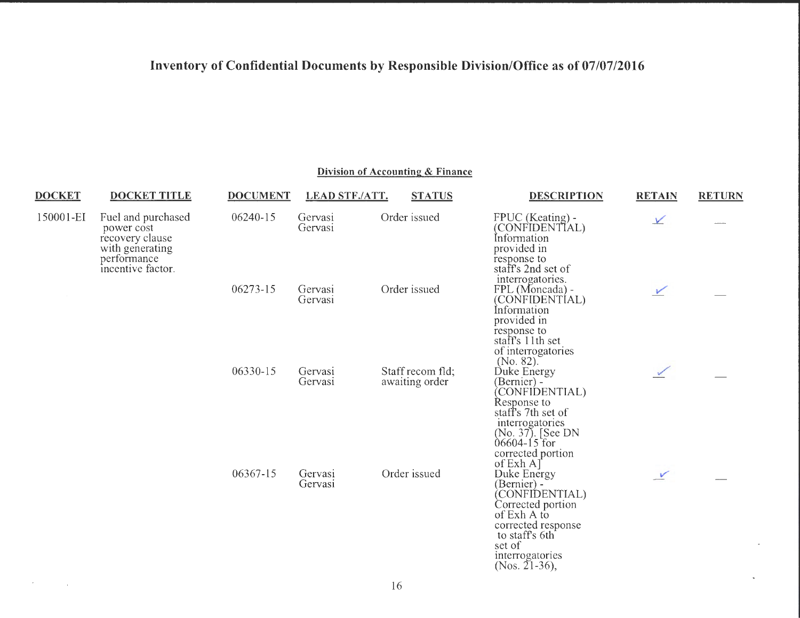**Division of Accounting & Finance** 

| <b>DOCKET</b>                    | <b>DOCKET TITLE</b>                                                    | <b>DOCUMENT</b>    | <b>LEAD STF./ATT.</b> | <b>STATUS</b>                                                                                                            | <b>DESCRIPTION</b>                                                                                                                                                        | <b>RETAIN</b> | <b>RETURN</b> |
|----------------------------------|------------------------------------------------------------------------|--------------------|-----------------------|--------------------------------------------------------------------------------------------------------------------------|---------------------------------------------------------------------------------------------------------------------------------------------------------------------------|---------------|---------------|
| 150001-EI                        | Fuel and purchased<br>power cost<br>recovery clause<br>with generating | 06240-15           | Gervasi<br>Gervasi    | Order issued                                                                                                             | FPUC (Keating) -<br>(CONFIDENTIAL)<br>Information<br>provided in                                                                                                          | $\sqrt{}$     |               |
| performance<br>incentive factor. | 06273-15                                                               | Gervasi<br>Gervasi | Order issued          | response to<br>staff's 2nd set of<br>interrogatories.<br>FPL (Moncada) -<br>(CONFIDENTIAL)<br>Information<br>provided in | $\checkmark$                                                                                                                                                              |               |               |
|                                  |                                                                        | 06330-15           | Gervasi<br>Gervasi    | Staff recom fld;<br>awaiting order                                                                                       | response to<br>staff's 11th set<br>of interrogatories<br>(No. 82).<br>Duke Energy<br>(Bernier) -<br>CONFIDENTIAL)<br>Response to                                          |               |               |
|                                  |                                                                        |                    |                       |                                                                                                                          | staff's 7th set of<br>interrogatories<br>(No. 37). [See DN<br>$06604 - 15$ for<br>corrected portion<br>of $Exh A$ ]                                                       |               |               |
|                                  |                                                                        | 06367-15           | Gervasi<br>Gervasi    | Order issued                                                                                                             | Duke Energy<br>(Bernier) -<br>(CONFIDENTIAL)<br>Corrected portion<br>of Exh A to<br>corrected response<br>to staff's 6th<br>set of<br>interrogatories<br>(Nos. $21-36$ ), | $\checkmark$  |               |

 $\mathcal{F}(\mathcal{F})$  and  $\mathcal{F}(\mathcal{F})$  .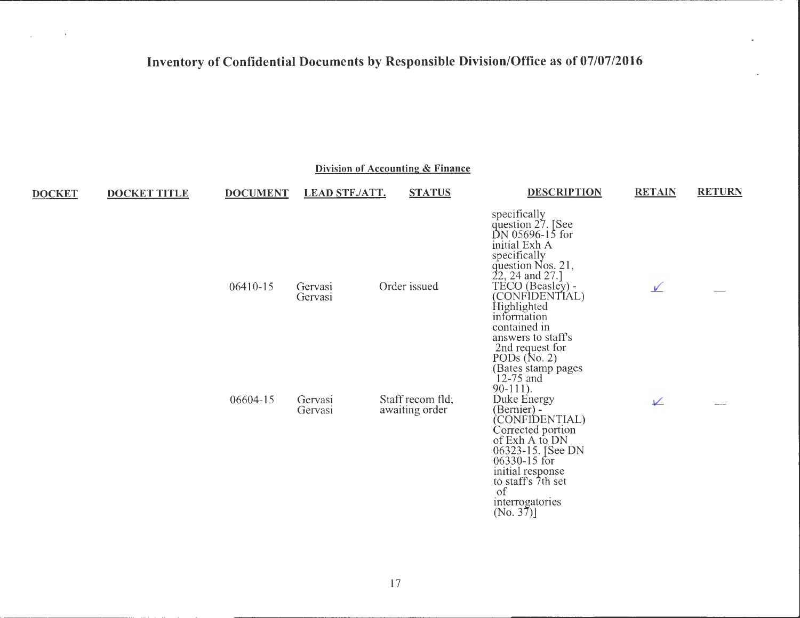$\sim 100$ 

 $\sim 10^{-1}$ 

|               |                     |                 |                       | Division of Accounting & Finance   |                                                                                                                                                                                                                                                                                                               |               |               |
|---------------|---------------------|-----------------|-----------------------|------------------------------------|---------------------------------------------------------------------------------------------------------------------------------------------------------------------------------------------------------------------------------------------------------------------------------------------------------------|---------------|---------------|
| <b>DOCKET</b> | <b>DOCKET TITLE</b> | <b>DOCUMENT</b> | <b>LEAD STF./ATT.</b> | <b>STATUS</b>                      | <b>DESCRIPTION</b>                                                                                                                                                                                                                                                                                            | <b>RETAIN</b> | <b>RETURN</b> |
|               |                     | 06410-15        | Gervasi<br>Gervasi    | Order issued                       | specifically<br>question 27. [See<br>DN 05696-15 for<br>initial Exh A<br>specifically<br>question Nos. 21,<br>22, 24 and 27.]<br>TECO (Beasley) -<br>(CONFIDENTIAL)<br>Highlighted<br>information<br>contained in<br>answers to staff's<br>2nd request for<br>PODs (No. 2)<br>(Bates stamp pages<br>12-75 and | $\sqrt{}$     |               |
|               |                     | 06604-15        | Gervasi<br>Gervasi    | Staff recom fld;<br>awaiting order | $90-111$ .<br>Duke Energy<br>(Bernier) -<br>(CONFIDENTIAL)<br>Corrected portion<br>of Exh A to DN<br>06323-15. [See DN<br>06330-15 for<br>initial response<br>to staff's 7th set<br>of<br>interrogatories<br>$(No. 37)$ ]                                                                                     | ⊻             |               |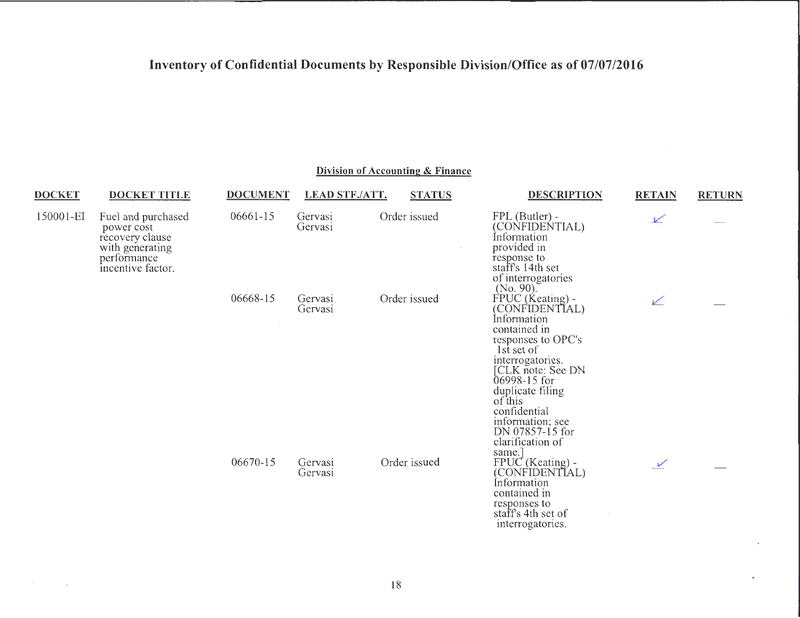| <b>DOCKET</b> | <b>DOCKET TITLE</b>                                                                                        | <b>DOCUMENT</b> | <b>LEAD STF./ATT.</b> | <b>STATUS</b> | <b>DESCRIPTION</b>                                                                                                                                                                                                                                                                 | <b>RETAIN</b> | <b>RETURN</b> |
|---------------|------------------------------------------------------------------------------------------------------------|-----------------|-----------------------|---------------|------------------------------------------------------------------------------------------------------------------------------------------------------------------------------------------------------------------------------------------------------------------------------------|---------------|---------------|
| 150001-EI     | Fuel and purchased<br>power cost<br>recovery clause<br>with generating<br>performance<br>incentive factor. | 06661-15        | Gervasi<br>Gervasi    | Order issued  | FPL (Butler) -<br>(CONFIDENTIAL)<br>Information<br>provided in<br>response to<br>staff's 14th set<br>of interrogatories<br>$(No. 90)$ .                                                                                                                                            | $\sqrt{ }$    |               |
|               |                                                                                                            | 06668-15        | Gervasi<br>Gervasi    | Order issued  | FPUC (Keating) -<br>(CONFIDENTIAL)<br>Information<br>contained in<br>responses to OPC's<br>1st set of<br>interrogatories.<br>[CLK note: See DN<br>06998-15 for<br>duplicate filing<br>of this<br>confidential<br>information; see<br>DN 07857-15 for<br>clarification of<br>same.] | ✓             |               |
|               |                                                                                                            | 06670-15        | Gervasi<br>Gervasi    | Order issued  | FPUC (Keating) -<br>(CONFIDENTIAL)<br>Information<br>contained in<br>responses to<br>staff's 4th set of<br>interrogatories.                                                                                                                                                        | $\vee$        |               |

### **Division of Accounting & Finance**

18

 $\sim 100$ 

u,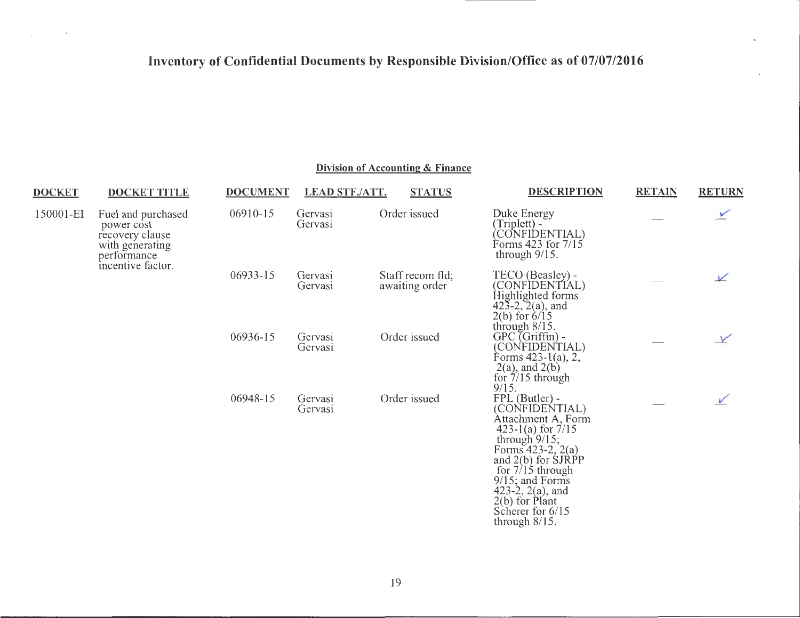$\overline{\phantom{a}}$ 

 $\mathcal{L}_{\text{max}}$  and  $\mathcal{L}_{\text{max}}$  . We set

| <b>DOCKET</b> | <b>DOCKET TITLE</b>                                                                                        | <b>DOCUMENT</b> | <b>LEAD STF./ATT.</b> | <b>STATUS</b>                      | <b>DESCRIPTION</b>                                                                                                                                                                                                                                                                | <b>RETAIN</b> | <b>RETURN</b> |
|---------------|------------------------------------------------------------------------------------------------------------|-----------------|-----------------------|------------------------------------|-----------------------------------------------------------------------------------------------------------------------------------------------------------------------------------------------------------------------------------------------------------------------------------|---------------|---------------|
| 150001-EI     | Fuel and purchased<br>power cost<br>recovery clause<br>with generating<br>performance<br>incentive factor. | 06910-15        | Gervasi<br>Gervasi    | Order issued                       | Duke Energy<br>(Triplett) -<br>CONFIDENTIAL)<br>Forms 423 for 7/15<br>through $9/15$ .                                                                                                                                                                                            |               | $\checkmark$  |
|               |                                                                                                            | 06933-15        | Gervasi<br>Gervasi    | Staff recom fld;<br>awaiting order | TECO (Beasley) -<br>(CONFIDENTIAL)<br>Highlighted forms<br>$42\overline{3} - 2, 2(a)$ , and<br>$2(b)$ for $6/15$<br>through $8/15$ .                                                                                                                                              |               | $\sqrt{ }$    |
|               |                                                                                                            | 06936-15        | Gervasi<br>Gervasi    | Order issued                       | $GPC$ (Griffin) -<br>(CONFIDENTIAL)<br>Forms $423-1(a)$ , 2,<br>$2(a)$ , and $2(b)$<br>for $7/15$ through<br>9/15.                                                                                                                                                                |               | V             |
|               |                                                                                                            | 06948-15        | Gervasi<br>Gervasi    | Order issued                       | FPL (Butler) -<br>(CONFIDENTIAL)<br>Attachment A, Form<br>423 $1(a)$ for $7/15$<br>through $9/15$ ;<br>Forms $423-2$ , $2(a)$<br>and $2(b)$ for SJRPP<br>for $7/15$ through<br>$9/15$ ; and Forms<br>423-2, $2(a)$ , and<br>$2(b)$ for Plant<br>Scherer for 6/15<br>through 8/15. |               |               |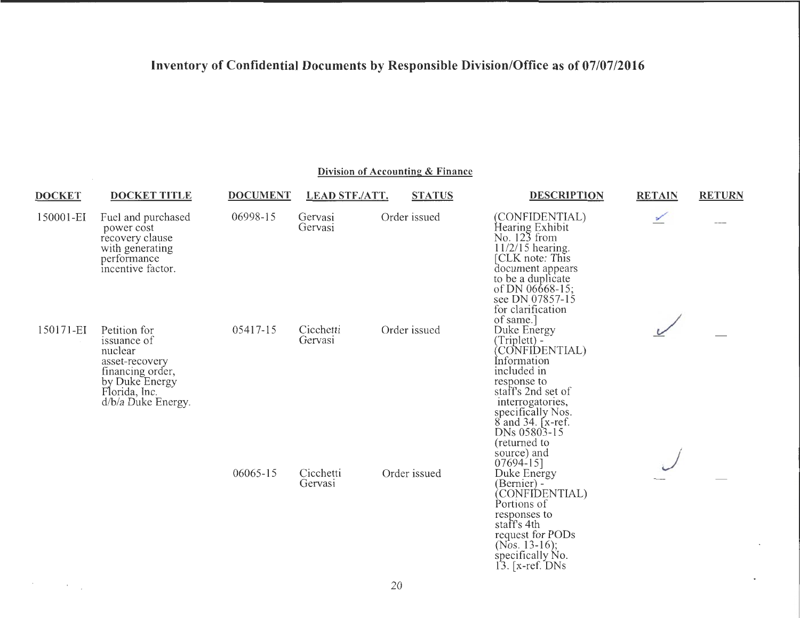#### **Division of Accounting & Finance**

 $\sim$  and  $\sim$  100  $\sim$ 

 $\blacksquare$ 

| <b>DOCKET</b> | <b>DOCKET TITLE</b>                                                                                                                   | <b>DOCUMENT</b> | LEAD STF./ATT.       | <b>STATUS</b> | DESCRIPTION                                                                                                                                                                                                                         | <b>RETAIN</b> | <b>RETURN</b> |
|---------------|---------------------------------------------------------------------------------------------------------------------------------------|-----------------|----------------------|---------------|-------------------------------------------------------------------------------------------------------------------------------------------------------------------------------------------------------------------------------------|---------------|---------------|
| 150001-EI     | Fuel and purchased<br>power cost<br>recovery clause<br>with generating<br>performance<br>incentive factor.                            | 06998-15        | Gervasi<br>Gervasi   | Order issued  | (CONFIDENTIAL)<br>Hearing Exhibit<br>No. 123 from<br>11/2/15 hearing.<br>[CLK note: This<br>document appears<br>to be a duplicate<br>of DN 06668-15;<br>see DN 07857-15<br>for clarification<br>of same.]                           |               |               |
| 150171-EI     | Petition for<br>issuance of<br>nuclear<br>asset-recovery<br>financing order,<br>by Duke Energy<br>Florida, Inc.<br>d/b/a Duke Energy. | 05417-15        | Cicchetti<br>Gervasi | Order issued  | Duke Energy<br>(Triplett) -<br>CONFIDENTIAL)<br>Information<br>included in<br>response to<br>staff's 2nd set of<br>interrogatories,<br>specifically Nos.<br>$8$ and 34. [ $x$ -ref.]<br>DNs 05803-15<br>(returned to<br>source) and |               |               |
|               |                                                                                                                                       | 06065-15        | Cicchetti<br>Gervasi | Order issued  | 07694-15]<br>Duke Energy<br>(Bernier) -<br>(CONFIDENTIAL)<br>Portions of<br>responses to<br>staff's 4th<br>request for PODs<br>(Nos. 13-16);<br>specifically No.<br>13. [x-ref. DNs]                                                |               |               |

 $\mathcal{F}^{\text{max}}_{\text{max}}$  , where  $\mathcal{F}^{\text{max}}_{\text{max}}$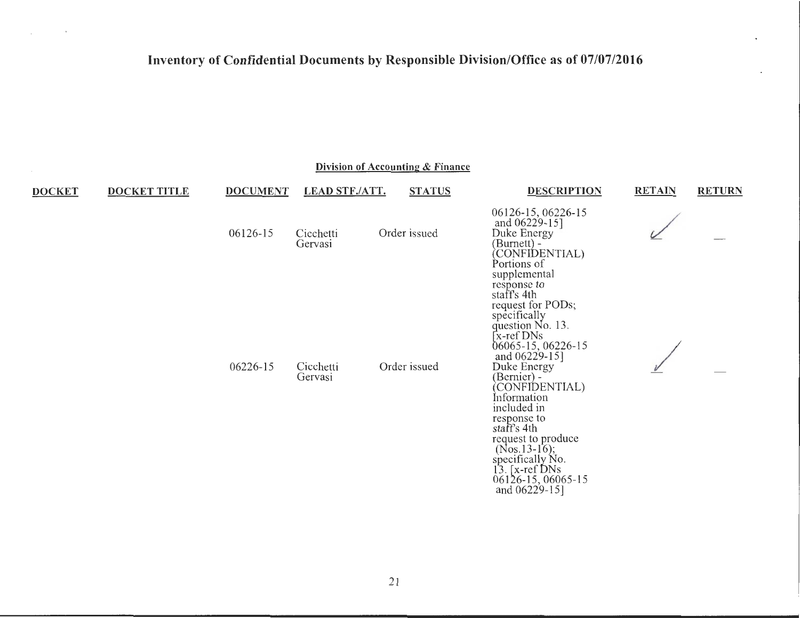$\mathcal{L}_{\rm eff}$  and  $\mathcal{L}_{\rm eff}$  and  $\mathcal{L}_{\rm eff}$ 

| Division of Accounting & Finance |                     |                 |                       |               |                                                                                                                                                                                                                                                                                                                                                                                                                  |               |               |  |  |  |
|----------------------------------|---------------------|-----------------|-----------------------|---------------|------------------------------------------------------------------------------------------------------------------------------------------------------------------------------------------------------------------------------------------------------------------------------------------------------------------------------------------------------------------------------------------------------------------|---------------|---------------|--|--|--|
| <b>DOCKET</b>                    | <b>DOCKET TITLE</b> | <b>DOCUMENT</b> | <b>LEAD STF./ATT.</b> | <b>STATUS</b> | <b>DESCRIPTION</b>                                                                                                                                                                                                                                                                                                                                                                                               | <b>RETAIN</b> | <b>RETURN</b> |  |  |  |
|                                  |                     | 06126-15        | Cicchetti<br>Gervasi  | Order issued  | 06126-15, 06226-15<br>and 06229-15]<br>Duke Energy<br>(Burnett) -<br>(CONFIDENTIAL)<br>Portions of                                                                                                                                                                                                                                                                                                               |               |               |  |  |  |
|                                  |                     | 06226-15        | Cicchetti<br>Gervasi  | Order issued  | supplemental<br>response to<br>staff's 4th<br>request for PODs;<br>specifically<br>question No. 13.<br><b>Ex-ref</b> DNs<br>06065-15, 06226-15<br>and 06229-15]<br>Duke Energy<br>(Bernier) -<br>(CONFIDENTIAL)<br>Information<br>included in<br>response to<br>staff's 4th<br>request to produce<br>$(Nos.13-16);$<br>specifically $\widetilde{N}$ o.<br>13. [x-ref DNs]<br>06126-15, 06065-15<br>and 06229-15] |               |               |  |  |  |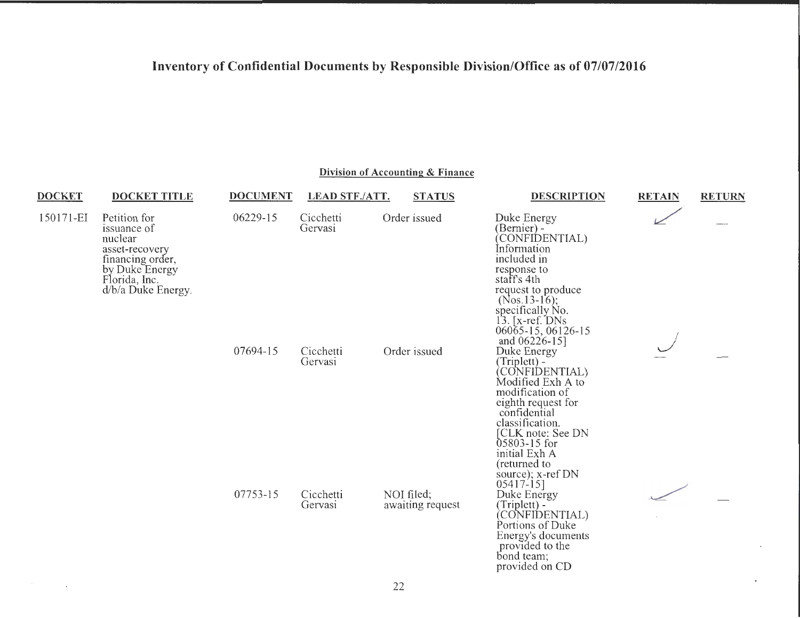| <b>DOCKET</b>        | <b>DOCKET TITLE</b>                                                                                                        | <b>DOCUMENT</b> | <b>LEAD STF./ATT.</b> | <b>STATUS</b>                  | <b>DESCRIPTION</b>                                                                                                                                                                                                                                              | <b>RETAIN</b> | <b>RETURN</b> |
|----------------------|----------------------------------------------------------------------------------------------------------------------------|-----------------|-----------------------|--------------------------------|-----------------------------------------------------------------------------------------------------------------------------------------------------------------------------------------------------------------------------------------------------------------|---------------|---------------|
| 150171-EI<br>nuclear | Petition for<br>issuance of<br>asset-recovery<br>financing order,<br>by Duke Energy<br>Florida, Inc.<br>d/b/a Duke Energy. | 06229-15        | Cicchetti<br>Gervasi  | Order issued                   | Duke Energy<br>(Bernier) -<br>CONFIDENTIAL)<br>Information<br>included in<br>response to<br>staff's 4th<br>request to produce<br>$(Nos.13-16);$<br>specifically No.<br>$13.$ [x-ref. DNs]<br>06065-15, 06126-15                                                 |               |               |
|                      |                                                                                                                            | 07694-15        | Cicchetti<br>Gervasi  | Order issued                   | and $06226 - 15$ ]<br>Duke Energy<br>$(Triplet) -$<br>CONFIDENTIAL)<br>Modified Exh A to<br>modification of<br>eighth request for<br>confidential<br>classification.<br>[CLK note: See DN<br>05803-15 for<br>initial Exh A<br>(returned to<br>source); x-ref DN |               |               |
|                      |                                                                                                                            | 07753-15        | Cicchetti<br>Gervasi  | NOI filed;<br>awaiting request | 05417-15]<br>Duke Energy<br>(Triplett) -<br>(CONFIDENTIAL)<br>Portions of Duke<br>Energy's documents<br>provided to the<br>bond team;<br>provided on CD                                                                                                         |               |               |

**Division of Accounting & Finance** 

 $\mathcal{F}^{\text{max}}_{\text{max}}$  and  $\mathcal{F}^{\text{max}}_{\text{max}}$ 

 $\blacksquare$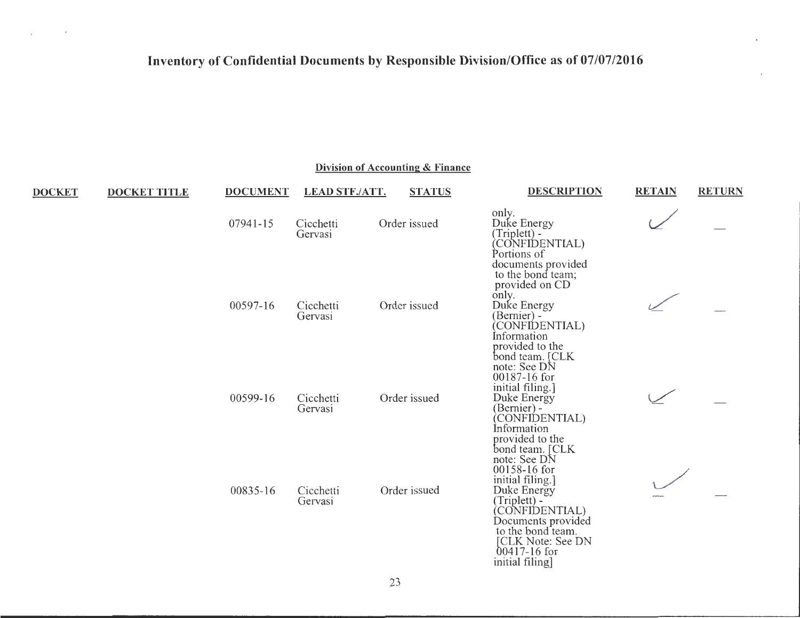$\sim 10^{-10}$  and  $\sim 10^{-10}$ 

| Division of Accounting & Finance |  |
|----------------------------------|--|
|                                  |  |

 $-$ 

 $-$ 

| <b>DOCKET</b> | <b>DOCKET TITLE</b> | <b>DOCUMENT</b> | <u>LEAD STF./ATT.</u> | <b>STATUS</b> | <b>DESCRIPTION</b>                                                                                                                                                                                       | <u>RETAIN</u> | <b>RETURN</b> |
|---------------|---------------------|-----------------|-----------------------|---------------|----------------------------------------------------------------------------------------------------------------------------------------------------------------------------------------------------------|---------------|---------------|
|               |                     | 07941-15        | Cicchetti<br>Gervasi  | Order issued  | only.<br>Duke Energy<br>(Triplett) -<br>(CONFIDENTIAL)<br>Portions of                                                                                                                                    |               |               |
|               |                     | 00597-16        | Cicchetti<br>Gervasi  | Order issued  | documents provided<br>to the bond team;<br>provided on CD<br>only.<br>Duke Energy<br>(Bernier) -<br>CONFIDENTIAL)<br>Information<br>provided to the<br>bond team. [CLK]                                  |               |               |
|               |                     | 00599-16        | Cicchetti<br>Gervasi  | Order issued  | note: See DN<br>00187-16 for<br>initial filing.]<br>Duke Energy<br>(Bernier) -<br>(CONFIDENTIAL)<br>Information<br>provided to the<br>bond team. [CLK                                                    |               |               |
|               |                     | 00835-16        | Cicchetti<br>Gervasi  | Order issued  | note: See DN<br>00158-16 for<br>initial filing.]<br>Duke Energy<br>(Triplett) -<br>(CONFIDENTIAL)<br>Documents provided<br>to the bond team.<br>[CLK Note: See DN<br>$00417 - 16$ for<br>initial filing] |               |               |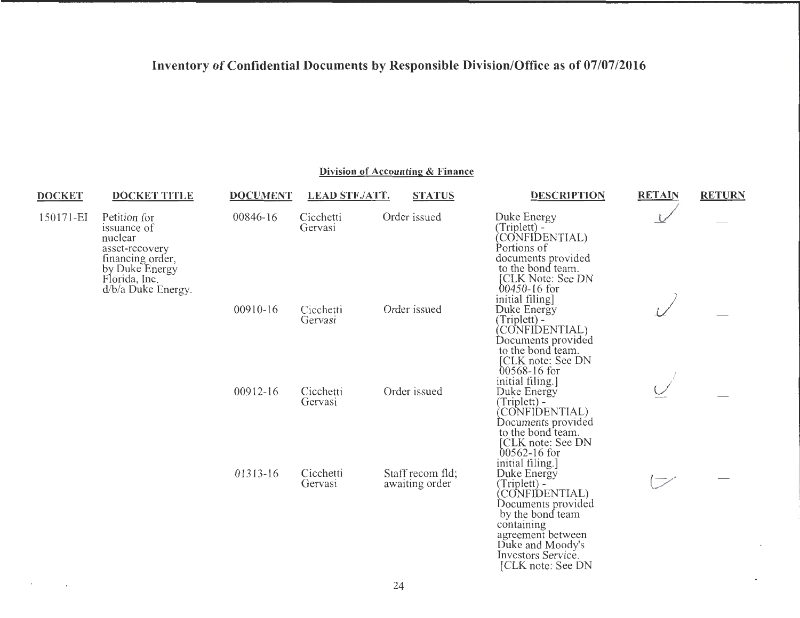#### **Division of Accounting & Finance**

| <b>DOCKET</b> | <b>DOCKET TITLE</b>                                                                                                                     | <b>DOCUMENT</b> | <b>LEAD STF./ATT.</b> | <b>STATUS</b>                      | <b>DESCRIPTION</b>                                                                                                                                                                                           | <b>RETAIN</b> | <b>RETURN</b> |
|---------------|-----------------------------------------------------------------------------------------------------------------------------------------|-----------------|-----------------------|------------------------------------|--------------------------------------------------------------------------------------------------------------------------------------------------------------------------------------------------------------|---------------|---------------|
| 150171-EI     | Petition for<br>issuance of<br>nuclear<br>asset-recovery<br>financing order,<br>by Duke Energy<br>Florida, Inc.<br>$d/b/a$ Duke Energy. | 00846-16        | Cicchetti<br>Gervasi  | Order issued                       | Duke Energy<br>(Triplett) -<br>CONFIDENTIAL)<br>Portions of<br>documents provided<br>to the bond team.<br>[CLK Note: See DN<br>$00450 - 16$ for                                                              |               |               |
|               |                                                                                                                                         | 00910-16        | Cicchetti<br>Gervasi  | Order issued                       | initial filing]<br>Duke Energy<br>(Triplett) -<br>(CONFIDENTIAL)<br>Documents provided<br>to the bond team.<br>CLK note: See DN<br>$00568 - 16$ for                                                          |               |               |
|               |                                                                                                                                         | 00912-16        | Cicchetti<br>Gervasi  | Order issued                       | initial filing.]<br>Duke Energy<br>(Triplett) -<br>CONFIDENTIAL)<br>Documents provided<br>to the bond team.<br>[CLK note: See DN<br>$00562 - 16$ for                                                         |               |               |
|               |                                                                                                                                         | 01313-16        | Cicchetti<br>Gervasi  | Staff recom fld;<br>awaiting order | initial filing.]<br>Duke Energy<br>(Triplett) -<br>CONFIDENTIAL)<br>Documents provided<br>by the bond team<br>containing<br>agreement between<br>Duke and Moody's<br>Investors Service.<br>[CLK note: See DN |               |               |

 $\epsilon$ 

 $\sim 100$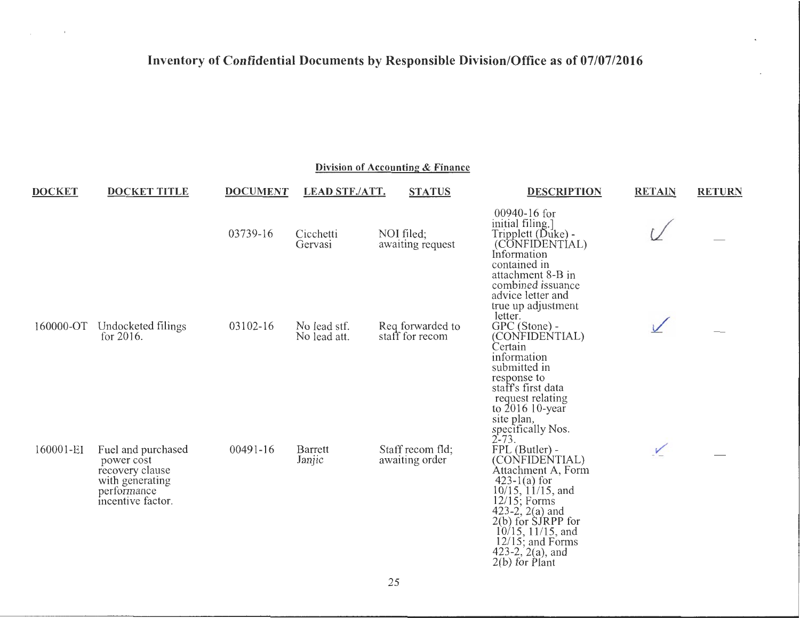$\mathcal{L}_{\rm{max}}$  and  $\mathcal{L}_{\rm{max}}$ 

| <b>DOCKET</b> | <b>DOCKET TITLE</b>                                                    | <b>DOCUMENT</b> | <b>LEAD STF./ATT.</b>        | <b>STATUS</b>                       | <b>DESCRIPTION</b>                                                                                                                                                                       | <b>RETAIN</b> | <b>RETURN</b> |
|---------------|------------------------------------------------------------------------|-----------------|------------------------------|-------------------------------------|------------------------------------------------------------------------------------------------------------------------------------------------------------------------------------------|---------------|---------------|
|               |                                                                        | 03739-16        | Cicchetti<br>Gervasi         | NOI filed;<br>awaiting request      | 00940-16 for<br>initial filing.<br>Tripplett (Duke) -<br>(CONFIDENTIAL)<br>Information<br>contained in                                                                                   |               |               |
| 160000-OT     | Undocketed filings<br>for $2016$ .                                     | 03102-16        | No lead stf.<br>No lead att. | Req forwarded to<br>staff for recom | attachment 8-B in<br>combined issuance<br>advice letter and<br>true up adjustment<br>letter.<br>GPC (Stone) -<br>(CONFIDENTIAL)<br>Certain<br>information<br>submitted in<br>response to |               |               |
| 160001-EI     | Fuel and purchased<br>power cost<br>recovery clause<br>with generating | $00491 - 16$    | Barrett<br>Janjic            | Staff recom fld:<br>awaiting order  | staff's first data<br>request relating<br>to $2016$ 10-year<br>site plan,<br>specifically Nos.<br>$2 - 73.$<br>FPL (Butler) -<br>(CONFIDENTIAL)<br>Attachment A, Form<br>$423-1(a)$ for  | $\vee$        |               |
|               | performance<br>incentive factor.                                       |                 |                              |                                     | $10/15$ , $11/15$ , and<br>$12/15$ ; Forms<br>423-2, $2(a)$ and<br>$2(b)$ for $S$ JRPP for<br>$10/15$ , 11/15, and<br>$12/15$ ; and Forms<br>423-2, $2(a)$ , and<br>$2(b)$ for Plant     |               |               |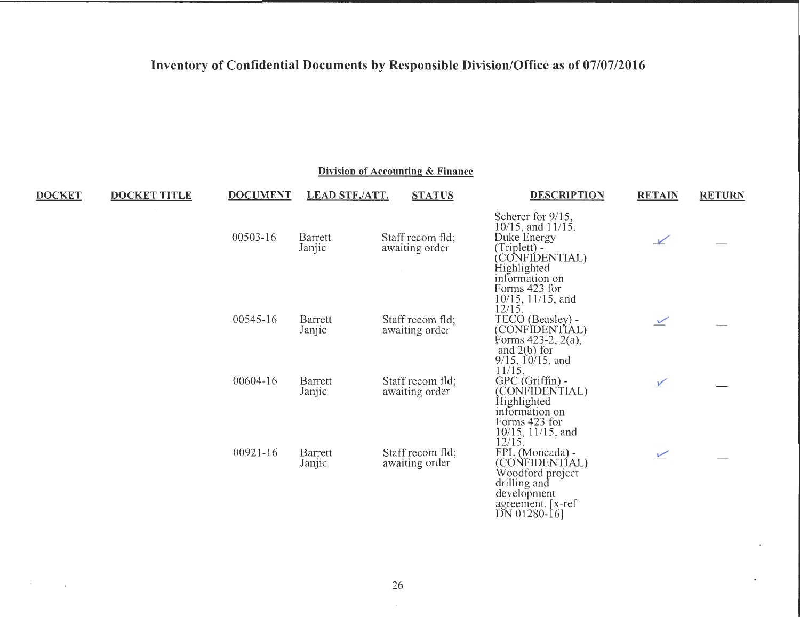|               | Division of Accounting & Finance |                 |                       |                                    |                                                                                                                                                                                    |               |               |  |  |
|---------------|----------------------------------|-----------------|-----------------------|------------------------------------|------------------------------------------------------------------------------------------------------------------------------------------------------------------------------------|---------------|---------------|--|--|
| <b>DOCKET</b> | <b>DOCKET TITLE</b>              | <b>DOCUMENT</b> | <b>LEAD STF./ATT.</b> | <b>STATUS</b>                      | <b>DESCRIPTION</b>                                                                                                                                                                 | <b>RETAIN</b> | <b>RETURN</b> |  |  |
|               |                                  | 00503-16        | Barrett<br>Janjic     | Staff recom fld;<br>awaiting order | Scherer for 9/15,<br>$10/15$ , and $11/15$ .<br>Duke Energy<br>$(Triplet) -$<br>(CONFIDENTIAL)<br>Highlighted<br>information on                                                    | $\sqrt{ }$    |               |  |  |
|               |                                  | 00545-16        | Barrett<br>Janjic     | Staff recom fld;<br>awaiting order | Forms 423 for<br>$10/15$ , $11/15$ , and<br>12/15.<br>TECO (Beasley) -<br>(CONFIDENTIAL)<br>Forms $423-2$ , $2(a)$ ,<br>and $2(b)$ for<br>$9/15$ , $10/15$ , and                   | $\angle$      |               |  |  |
|               |                                  | 00604-16        | Barrett<br>Janjic     | Staff recom fld;<br>awaiting order | 11/15.<br>$GPC$ (Griffin) -<br>(CONFIDENTIAL)<br>Highlighted<br>information on                                                                                                     | $\sqrt{}$     |               |  |  |
|               |                                  | 00921-16        | Barrett<br>Janjic     | Staff recom fld;<br>awaiting order | Forms 423 for<br>$10/15$ , $11/15$ , and<br>12/15.<br>FPL (Moncada) -<br>(CONFIDENTIAL)<br>Woodford project<br>drilling and<br>development<br>agreement. [x-ref]<br>$DN$ 01280-16] | $\sqrt{ }$    |               |  |  |

and the company

 $\blacksquare$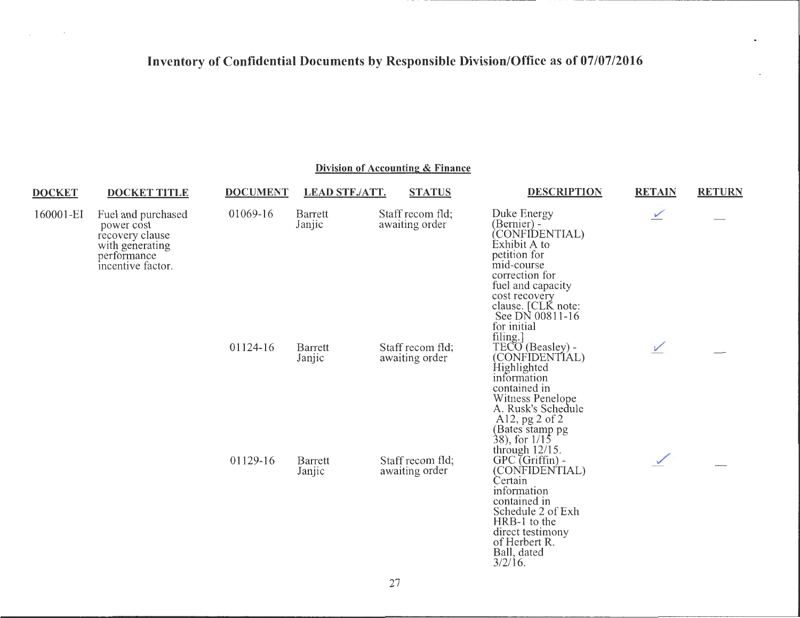$\mathcal{L}_{\text{max}}$  and  $\mathcal{L}_{\text{max}}$  .

#### **Division of Accounting & Finance**

| <b>DOCKET</b> | <b>DOCKET TITLE</b>                                                                                        | <b>DOCUMENT</b> | <b>LEAD STF./ATT.</b> | <b>STATUS</b>                      | <b>DESCRIPTION</b>                                                                                                                                                                                                     | <b>RETAIN</b> | <b>RETURN</b> |
|---------------|------------------------------------------------------------------------------------------------------------|-----------------|-----------------------|------------------------------------|------------------------------------------------------------------------------------------------------------------------------------------------------------------------------------------------------------------------|---------------|---------------|
| 160001-EI     | Fuel and purchased<br>power cost<br>recovery clause<br>with generating<br>performance<br>incentive factor. | 01069-16        | Barrett<br>Janjic     | Staff recom fld;<br>awaiting order | Duke Energy<br>(Bernier) -<br>(CONFIDENTIAL)<br>Exhibit A to<br>petition for<br>mid-course<br>correction for<br>fuel and capacity<br>cost recovery<br>clause. [CLK note:<br>See DN 00811-16<br>for initial<br>filing.] | $\sqrt{ }$    |               |
|               |                                                                                                            | 01124-16        | Barrett<br>Janjic     | Staff recom fld:<br>awaiting order | TECO (Beasley) -<br>(CONFIDENTIAL)<br>Highlighted<br>information<br>contained in<br>Witness Penelope<br>A. Rusk's Schedule<br>Al2, $pg$ 2 of 2<br>(Bates stamp pg<br>38), for 1/15<br>through $12/15$ .                | V             |               |
|               |                                                                                                            | 01129-16        | Barrett<br>Janjic     | Staff recom fld;<br>awaiting order | $GPC$ (Griffin) -<br>(CONFIDENTIAL)<br>Certain<br>information<br>contained in<br>Schedule 2 of Exh<br>HRB-1 to the<br>direct testimony<br>of Herbert R.<br>Ball, dated                                                 |               |               |

 $3/2/16$ .

 $\bullet$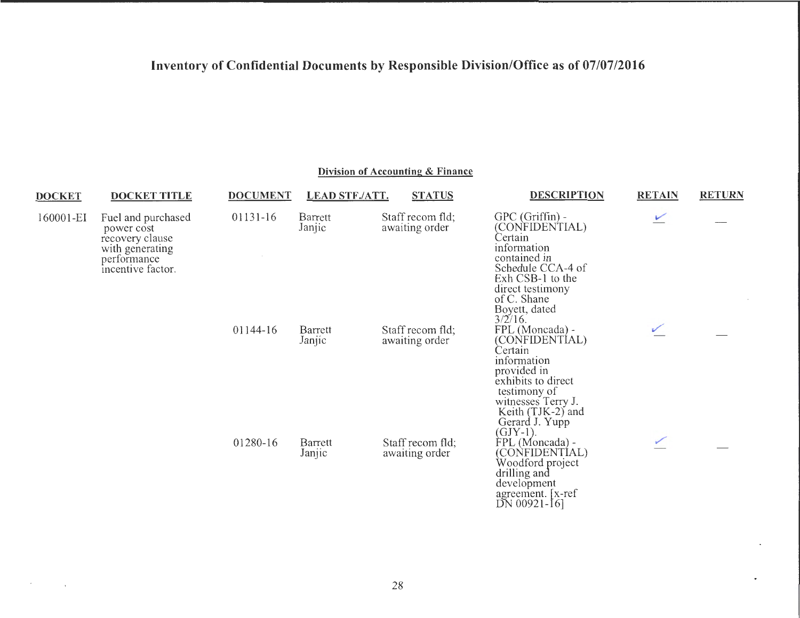**Division of Accounting & Finance** 

| <b>DOCKET</b> | <b>DOCKET TITLE</b>                                                                                        | <b>DOCUMENT</b> | <b>LEAD STF./ATT.</b> | <b>STATUS</b>                      | <b>DESCRIPTION</b>                                                                                                                                                                           | <b>RETAIN</b>            | <b>RETURN</b> |
|---------------|------------------------------------------------------------------------------------------------------------|-----------------|-----------------------|------------------------------------|----------------------------------------------------------------------------------------------------------------------------------------------------------------------------------------------|--------------------------|---------------|
| 160001-EI     | Fuel and purchased<br>power cost<br>recovery clause<br>with generating<br>performance<br>incentive factor. | 01131-16        | Barrett<br>Janjic     | Staff recom fld;<br>awaiting order | $GPC$ (Griffin) -<br>(CONFIDENTIAL)<br>Certain<br>information<br>contained in<br>Schedule CCA-4 of<br>Exh CSB-1 to the<br>direct testimony<br>of C. Shane<br>Boyett, dated<br>$3/2/16$ .     | $\overline{\phantom{0}}$ |               |
|               |                                                                                                            | 01144-16        | Barrett<br>Janjic     | Staff recom fld;<br>awaiting order | FPL (Moncada) -<br>(CONFIDENTIAL)<br>Certain<br>information<br>provided in<br>exhibits to direct<br>testimony of<br>witnesses Terry J.<br>Keith (TJK-2) and<br>Gerard J. Yupp<br>$(GJY-1)$ . |                          |               |
|               |                                                                                                            | 01280-16        | Barrett<br>Janjic     | Staff recom fld;<br>awaiting order | FPL (Moncada) -<br>(CONFIDENTIAL)<br>Woodford project<br>drilling and<br>development<br>agreement. [x-ref<br>$DN$ 00921-16]                                                                  |                          |               |

 $\mathcal{F}(\mathcal{F})$  and  $\mathcal{F}(\mathcal{F})$  .

 $\bullet$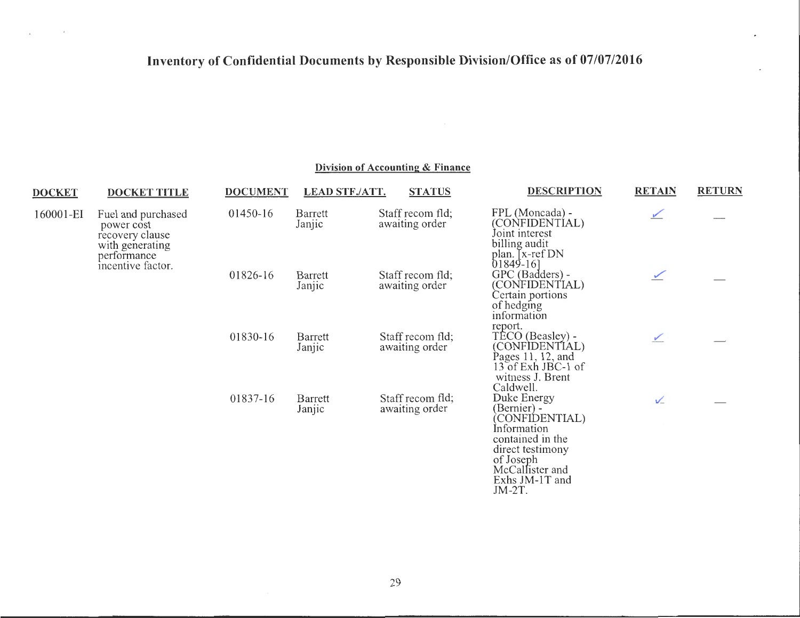$\sim 10^{-11}$ 

 $\sim$ 

| <b>DOCKET</b> | <b>DOCKET TITLE</b>                                                    | <b>DOCUMENT</b> | <b>LEAD STF./ATT.</b> | <b>STATUS</b>                      | <b>DESCRIPTION</b>                                                                                                  | <b>RETAIN</b> | <b>RETURN</b> |
|---------------|------------------------------------------------------------------------|-----------------|-----------------------|------------------------------------|---------------------------------------------------------------------------------------------------------------------|---------------|---------------|
| 160001-EI     | Fuel and purchased<br>power cost<br>recovery clause<br>with generating | 01450-16        | Barrett<br>Janjic     | Staff recom fld;<br>awaiting order | FPL (Moncada) -<br>(CONFIDENTÍAL)<br>Joint interest<br>billing audit                                                | $\sqrt{2}$    |               |
|               | performance<br>incentive factor.                                       | 01826-16        | Barrett<br>Janjic     | Staff recom fld;<br>awaiting order | plan. [x-ref DN<br>$01849-16$<br>GPC (Badders) -<br>(CONFIDENTIAL)<br>Certain portions<br>of hedging<br>information | $\checkmark$  |               |
|               |                                                                        | 01830-16        | Barrett<br>Janjic     | Staff recom fld;<br>awaiting order | report.<br>TÉCO (Beasley) -<br>(CONFIDENTIAL)<br>Pages 11, 12, and<br>13 of Exh JBC-1 of<br>witness J. Brent        | $\checkmark$  |               |
|               |                                                                        | 01837-16        | Barrett<br>Janjic     | Staff recom fld;<br>awaiting order | Caldwell.<br>Duke Energy<br>(Bernier) -<br>CONFIDENTIAL)<br>Information<br>contained in the<br>direct testimony     | $\sqrt{}$     |               |
|               |                                                                        |                 |                       |                                    | of Joseph<br>McCallister and<br>Exhs JM-1T and<br>$JM-2T$ .                                                         |               |               |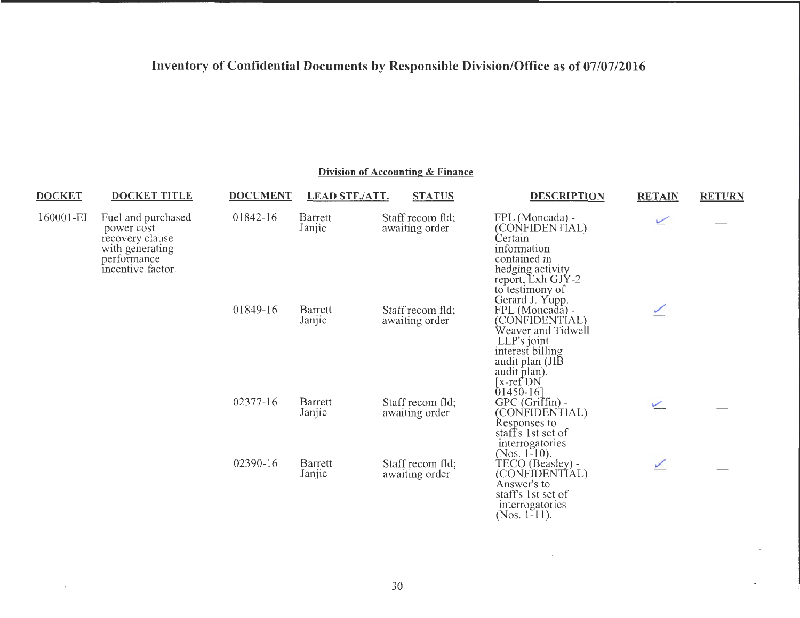### Division of Accounting & Finance

| <b>DOCKET</b> | <b>DOCKET TITLE</b>                                 | <b>DOCUMENT</b> | <b>LEAD STF./ATT.</b> | <b>STATUS</b>                      | <b>DESCRIPTION</b>                                                                                                                                                                                                                          | <b>RETAIN</b> | <b>RETURN</b> |
|---------------|-----------------------------------------------------|-----------------|-----------------------|------------------------------------|---------------------------------------------------------------------------------------------------------------------------------------------------------------------------------------------------------------------------------------------|---------------|---------------|
| 160001-EI     | Fuel and purchased<br>power cost<br>recovery clause | 01842-16        | Barrett<br>Janjic     | Staff recom fld;<br>awaiting order | FPL (Moncada) -<br>(CONFIDENTIAL)<br>Certain                                                                                                                                                                                                | $\sqrt{}$     |               |
|               | with generating<br>performance<br>incentive factor. | 01849-16        | Barrett<br>Janjic     | Staff recom fld;<br>awaiting order | information<br>contained in<br>hedging activity<br>report, Exh GJY-2<br>to testimony of<br>Gerard J. Yupp.<br>FPL (Moncada) -<br>(CONFIDENTÍAL)<br>Weaver and Tidwell<br>LLP's joint<br>interest billing<br>audit plan (JIB<br>audit plan). |               |               |
|               |                                                     | 02377-16        | Barrett<br>Janjic     | Staff recom fld;<br>awaiting order | [x-ref <sup>*</sup> DN]<br>$01450 - 16$<br>$GPC(Griffin)$ -<br>(CONFIDENTIAL)<br>Responses to<br>staff's 1st set of                                                                                                                         | $\angle$      |               |
|               |                                                     | 02390-16        | Barrett<br>Janjic     | Staff recom fld;<br>awaiting order | interrogatories<br>(Nos. $1-10$ ).<br>TECO (Beasley) -<br>(CONFIDENTIAL)<br>Answer's to<br>staff's 1st set of<br>interrogatories                                                                                                            | ⊻             |               |

 $\mathcal{O}(\mathcal{O}(n))$  . The same  $\mathcal{O}(\mathcal{O}(n))$ 

(Nos. 1-11).

 $\sim 10^{11}$  km s  $^{-1}$ 

 $\ddot{\phantom{0}}$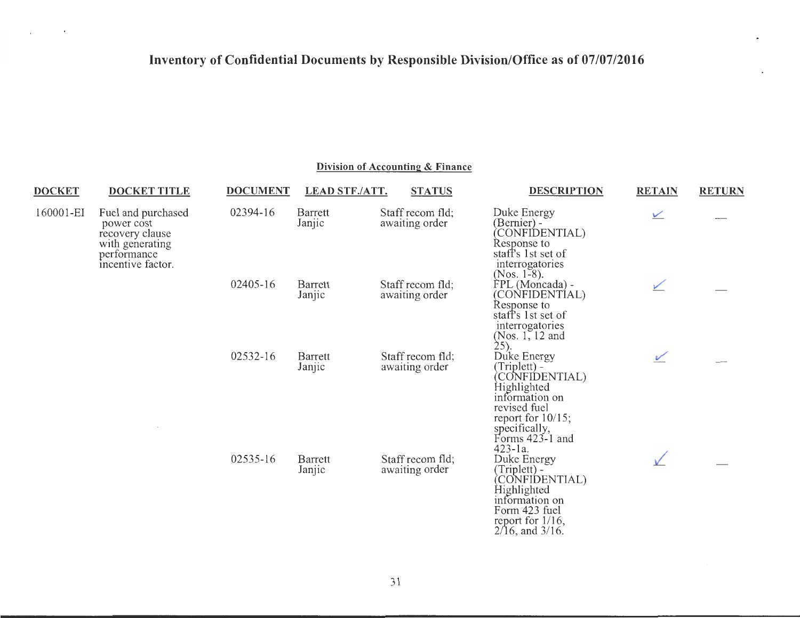$\sim$   $\sim$ 

 $\sim 10^{-1}$ 

| <b>DOCKET</b> | <b>DOCKET TITLE</b>                                                                                        | <b>DOCUMENT</b> | <b>LEAD STF./ATT.</b> | <b>STATUS</b>                      | <b>DESCRIPTION</b>                                                                                                                                                          | <b>RETAIN</b> | <b>RETURN</b> |
|---------------|------------------------------------------------------------------------------------------------------------|-----------------|-----------------------|------------------------------------|-----------------------------------------------------------------------------------------------------------------------------------------------------------------------------|---------------|---------------|
| 160001-EI     | Fuel and purchased<br>power cost<br>recovery clause<br>with generating<br>performance<br>incentive factor. | 02394-16        | Barrett<br>Janjic     | Staff recom fld;<br>awaiting order | Duke Energy<br>(Bernier) -<br>CONFIDENTIAL)<br>Response to<br>staff's 1st set of<br>interrogatories                                                                         | $\vee$        |               |
|               |                                                                                                            | 02405-16        | Barrett<br>Janjic     | Staff recom fld;<br>awaiting order | $(Nos. 1-8)$ .<br>FPL (Moncada) -<br>(CONFIDENTÍAL)<br>Response to<br>staff's 1st set of<br>interrogatories<br>(Nos. $1, 12$ and<br>$25)$ .                                 | ⊻             |               |
|               |                                                                                                            | 02532-16        | Barrett<br>Janjic     | Staff recom fld;<br>awaiting order | Duke Energy<br>(Triplett) -<br>CONFIDENTIAL)<br>Highlighted<br>information on<br>revised fuel<br>report for $10/15$ ;<br>specifically,<br>Forms $423-1$ and<br>$423 - 1a$ . | $\checkmark$  |               |
|               |                                                                                                            | 02535-16        | Barrett<br>Janjic     | Staff recom fld;<br>awaiting order | Duke Energy<br>(Triplett) -<br>(CONFIDENTIAL)<br>Highlighted<br>information on<br>Form 423 fuel<br>report for $1/16$ ,<br>$2/16$ , and $3/16$ .                             |               |               |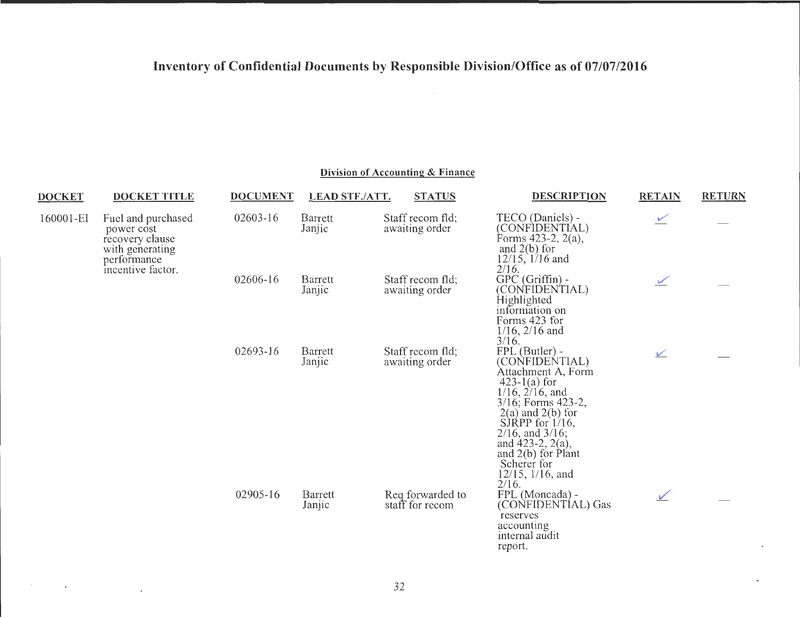### **Division of Accounting & Finance**

| <b>DOCKET</b>                                                                                                           | <b>DOCKET TITLE</b> | <b>DOCUMENT</b>   | <b>LEAD STF./ATT.</b>              | <b>STATUS</b>                                                                                                       | <b>DESCRIPTION</b>                                                                                                                                                                                                                                                                                     | <b>RETAIN</b> | <b>RETURN</b> |
|-------------------------------------------------------------------------------------------------------------------------|---------------------|-------------------|------------------------------------|---------------------------------------------------------------------------------------------------------------------|--------------------------------------------------------------------------------------------------------------------------------------------------------------------------------------------------------------------------------------------------------------------------------------------------------|---------------|---------------|
| 160001-EI<br>Fuel and purchased<br>power cost<br>recovery clause<br>with generating<br>performance<br>incentive factor. |                     | 02603-16          | Barrett<br>Janjic                  | Staff recom fld;<br>awaiting order                                                                                  | TECO (Daniels) -<br>(CONFIDENTIAL)<br>Forms $423-2$ , $2(a)$ ,<br>and $2(b)$ for<br>$12/15$ , $1/16$ and<br>$2/16$ .                                                                                                                                                                                   | $\angle$      |               |
|                                                                                                                         | 02606-16            | Barrett<br>Janjic | Staff recom fld;<br>awaiting order | GPC (Griffin) -<br>(CONFIDENTIAL)<br>Highlighted<br>information on<br>Forms 423 for<br>$1/16$ , $2/16$ and<br>3/16. | $\sqrt{2}$                                                                                                                                                                                                                                                                                             |               |               |
|                                                                                                                         |                     | 02693-16          | Barrett<br>Janjic                  | Staff recom fld;<br>awaiting order                                                                                  | FPL (Butler) -<br>(CONFIDENTIAL)<br>Attachment A, Form<br>$423-1(a)$ for<br>$1/16$ , $2/16$ , and<br>$3/16$ ; Forms 423-2,<br>$2(a)$ and $2(b)$ for<br>SIRPP for $1/16$ ,<br>$2/16$ , and $3/16$ ;<br>and $423-2$ , $2(a)$ ,<br>and $2(b)$ for Plant<br>Scherer for<br>$12/15$ , $1/16$ , and<br>2/16. | $\sqrt{}$     |               |
|                                                                                                                         |                     | 02905-16          | Barrett<br>Janjic                  | Req forwarded to<br>staff for recom                                                                                 | FPL (Moncada) -<br>(CONFIDENTIAL) Gas<br>reserves<br>accounting<br>internal audit<br>report.                                                                                                                                                                                                           | $\checkmark$  |               |

 $\mathcal{O}(10^{11} \, \mathrm{Mpc})$  . The contract of the  $\mathcal{O}(10^{11} \, \mathrm{Mpc})$ 

 $\mathcal{L}$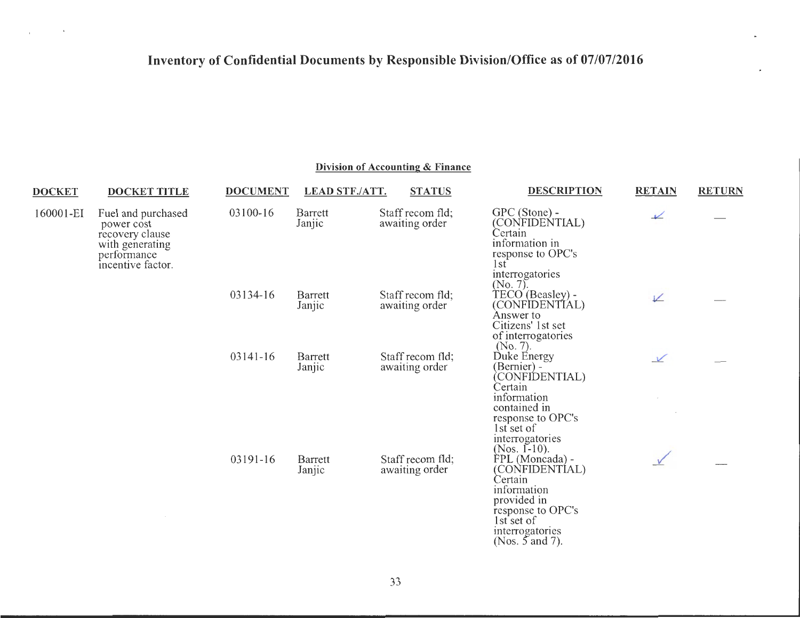$\sim 100$ 

 $\sim$ 

| <b>DOCKET</b> | <b>DOCKET TITLE</b>                                                                                        | <b>DOCUMENT</b> | <b>LEAD STF./ATT.</b> | <b>STATUS</b>                      | <b>DESCRIPTION</b>                                                                                                                                             | <b>RETAIN</b> | <b>RETURN</b> |
|---------------|------------------------------------------------------------------------------------------------------------|-----------------|-----------------------|------------------------------------|----------------------------------------------------------------------------------------------------------------------------------------------------------------|---------------|---------------|
| 160001-EI     | Fuel and purchased<br>power cost<br>recovery clause<br>with generating<br>performance<br>incentive factor. | 03100-16        | Barrett<br>Janjic     | Staff recom fld;<br>awaiting order | $GPC$ (Stone) -<br>(CONFIDENTIAL)<br>Certain<br>information in<br>response to OPC's<br>1st<br>interrogatories<br>$(N0, 7)$ .                                   | $\sqrt{ }$    |               |
|               |                                                                                                            | 03134-16        | Barrett<br>Janjic     | Staff recom fld;<br>awaiting order | TECO (Beasley) -<br>(CONFIDENTIAL)<br>Answer to<br>Citizens' 1st set<br>of interrogatories<br>(No. 7).                                                         | V             |               |
|               |                                                                                                            | 03141-16        | Barrett<br>Janjic     | Staff recom fld;<br>awaiting order | Duke Energy<br>(Bernier) -<br>CONFIDENTIAL)<br>Certain<br>information<br>contained in<br>response to OPC's<br>1st set of<br>interrogatories<br>(Nos. $[-10)$ . | $\sqrt{}$     |               |
|               |                                                                                                            | 03191-16        | Barrett<br>Janjic     | Staff recom fld;<br>awaiting order | FPL (Moncada) -<br>(CONFIDENTÍAL)<br>Certain<br>information<br>provided in<br>response to OPC's<br>1st set of<br>interrogatories<br>(Nos. $5$ and 7).          |               |               |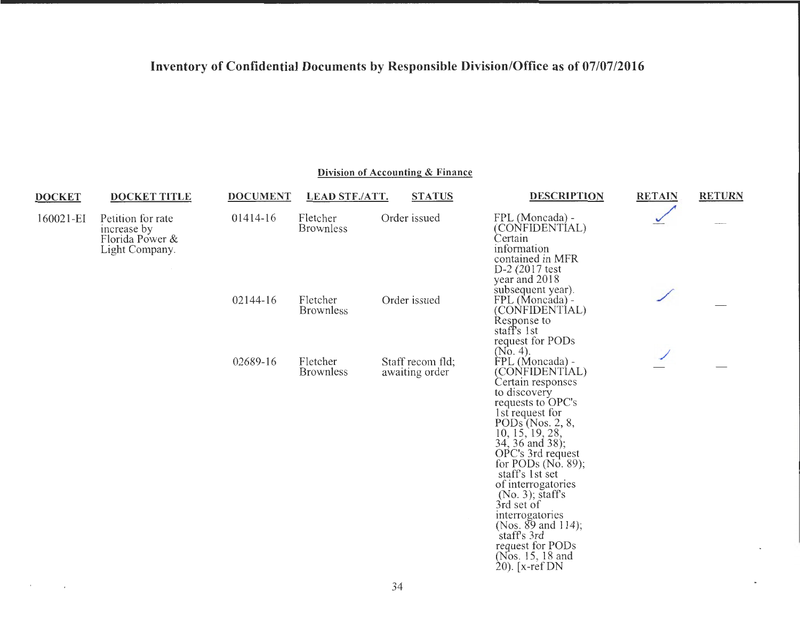**Division of Accounting & Finance** 

 $\sim$   $-$ 

| <b>DOCKET</b> | <b>DOCKET TITLE</b>                                                   | <b>DOCUMENT</b> | <b>LEAD STF./ATT.</b>        | <b>STATUS</b>                      | <b>DESCRIPTION</b>                                                                                                                                                                                                                                                                                                                                                                                                              | <b>RETAIN</b> | <b>RETURN</b> |
|---------------|-----------------------------------------------------------------------|-----------------|------------------------------|------------------------------------|---------------------------------------------------------------------------------------------------------------------------------------------------------------------------------------------------------------------------------------------------------------------------------------------------------------------------------------------------------------------------------------------------------------------------------|---------------|---------------|
| 160021-EI     | Petition for rate<br>increase by<br>Florida Power &<br>Light Company. | 01414-16        | Fletcher<br><b>Brownless</b> | Order issued                       | FPL (Moncada) -<br>(CONFIDENTIAL)<br>Certain<br>information<br>contained in MFR<br>$D-2$ (2017 test<br>year and 2018                                                                                                                                                                                                                                                                                                            |               |               |
|               |                                                                       | 02144-16        | Fletcher<br><b>Brownless</b> | Order issued                       | subsequent year).<br>FPL (Moncada) -<br>(CONFIDENTÍAL)<br>Response to<br>staff's 1st<br>request for PODs<br>$(No. 4)$ .                                                                                                                                                                                                                                                                                                         |               |               |
|               |                                                                       | 02689-16        | Fletcher<br><b>Brownless</b> | Staff recom fld:<br>awaiting order | FPL (Moncada) -<br>(CONFIDENTIAL)<br>Certain responses<br>to discovery<br>requests to OPC's<br>1st request for<br>PODs (Nos. 2, 8,<br>10, 15, 19, 28,<br>34, 36 and 38);<br>OPC's 3rd request<br>for PODs $(No. 89)$ ;<br>staff's 1st set<br>of interrogatories<br>$(No. 3)$ ; staff's<br>3rd set of<br>interrogatories<br>(Nos. $89$ and 114);<br>staff's 3rd<br>request for PODs<br>(Nos. 15, 18 and<br>$20$ ). [ $x$ -ref DN |               |               |

 $\sim 200$  km s  $^{-1}$  .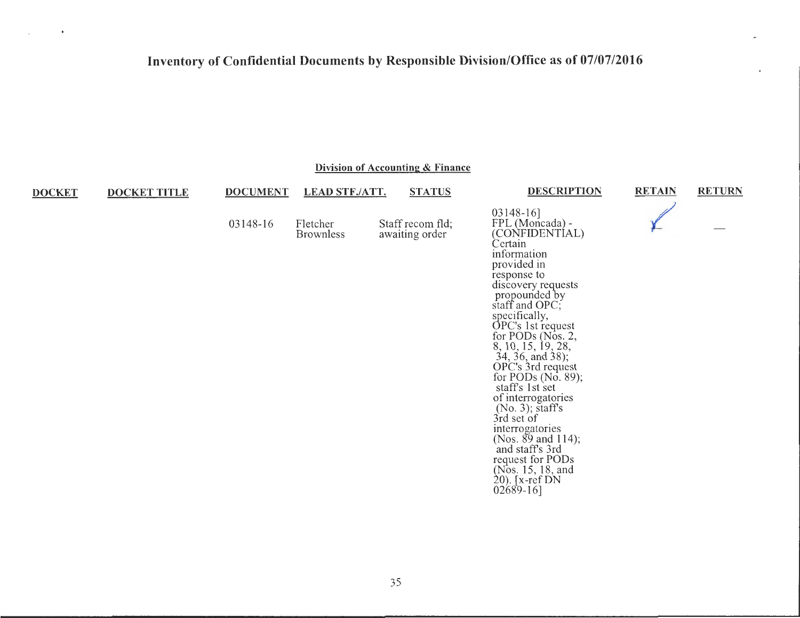$\mathbf{r}$ 

 $\mathcal{L}$ 

| Division of Accounting & Finance |                     |                 |                              |  |                                    |                                                                                                                                                                                                                                                                                                                                                                                                                                                                                                                                              |               |               |  |
|----------------------------------|---------------------|-----------------|------------------------------|--|------------------------------------|----------------------------------------------------------------------------------------------------------------------------------------------------------------------------------------------------------------------------------------------------------------------------------------------------------------------------------------------------------------------------------------------------------------------------------------------------------------------------------------------------------------------------------------------|---------------|---------------|--|
| <b>DOCKET</b>                    | <b>DOCKET TITLE</b> | <b>DOCUMENT</b> | <b>LEAD STF./ATT.</b>        |  | <b>STATUS</b>                      | <b>DESCRIPTION</b>                                                                                                                                                                                                                                                                                                                                                                                                                                                                                                                           | <b>RETAIN</b> | <b>RETURN</b> |  |
|                                  |                     | 03148-16        | Fletcher<br><b>Brownless</b> |  | Staff recom fld;<br>awaiting order | $03148-16$ ]<br>FPL (Moncada) -<br>(CONFIDENTIAL)<br>Certain<br>information<br>provided in<br>response to<br>discovery requests<br>propounded by<br>staff and OPC;<br>specifically,<br>OPC's 1st request<br>for PODs (Nos. 2,<br>8, 10, 15, 19, 28,<br>34, 36, and 38);<br>OPC's 3rd request<br>for PODs (No. 89);<br>staff's 1st set<br>of interrogatories<br>$(No. 3)$ ; staff's<br>3rd set of<br>interrogatories<br>(Nos. $89$ and 114);<br>and staff's 3rd<br>request for PODs<br>(Nos. 15, 18, and<br>$20$ ). [x-ref DN<br>$02689-16$ ] |               |               |  |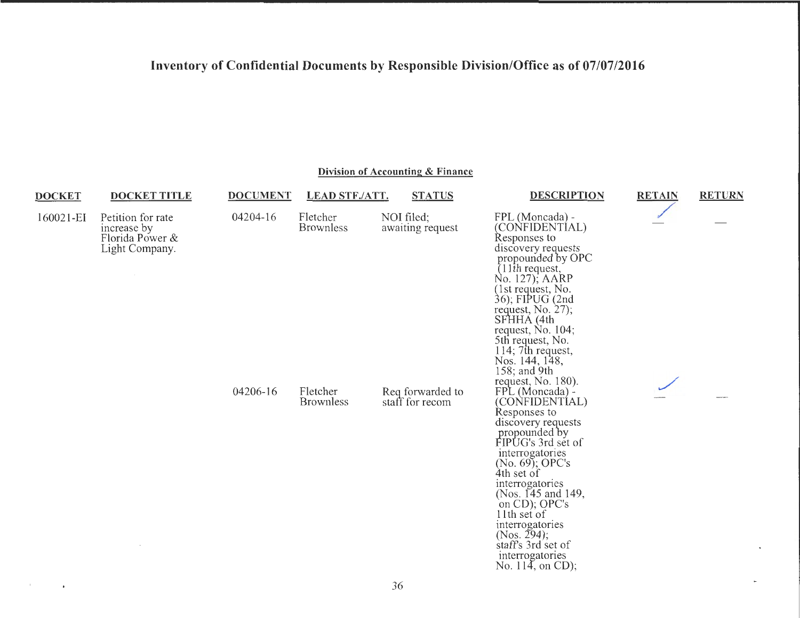| Division of Accounting & Finance |                                                                       |                 |                              |                                     |                                                                                                                                                                                                                                                                                                                                                             |               |               |  |
|----------------------------------|-----------------------------------------------------------------------|-----------------|------------------------------|-------------------------------------|-------------------------------------------------------------------------------------------------------------------------------------------------------------------------------------------------------------------------------------------------------------------------------------------------------------------------------------------------------------|---------------|---------------|--|
| <b>DOCKET</b>                    | <b>DOCKET TITLE</b>                                                   | <b>DOCUMENT</b> | <b>LEAD STF./ATT.</b>        | <b>STATUS</b>                       | <b>DESCRIPTION</b>                                                                                                                                                                                                                                                                                                                                          | <b>RETAIN</b> | <b>RETURN</b> |  |
| 160021-EI                        | Petition for rate<br>increase by<br>Florida Power &<br>Light Company. | 04204-16        | Fletcher<br><b>Brownless</b> | NOI filed;<br>awaiting request      | FPL (Moncada) -<br>(CONFIDENTIAL)<br>Responses to<br>discovery requests<br>propounded by OPC<br>$(11$ th request,<br>No. 127); AARP<br>(1st request, No.<br>36); FIPUG (2nd<br>request, No. 27);<br>SFHHA (4th<br>request, $No. 104$ ;<br>5th request, No.<br>114; 7th request,<br>Nos. 144, 148,<br>158; and $9th$<br>request, No. 180).                   |               |               |  |
|                                  |                                                                       | 04206-16        | Fletcher<br><b>Brownless</b> | Req forwarded to<br>staff for recom | FPL (Moncada) -<br>(CONFIDENTÍAL)<br>Responses to<br>discovery requests<br>propounded by<br>FIPUG's 3rd set of<br>interrogatories<br>$(No. 69)$ ; OPC's<br>4th set of<br>interrogatories<br>(Nos. 145 and 149,<br>on CD); OPC's<br>11th set of<br>interrogatories<br>(Nos. 294);<br>staff's 3rd set of<br>interrogatories<br>No. $11\overline{4}$ , on CD); |               |               |  |

 $\sim 3$ 

 $\sim$   $\sim$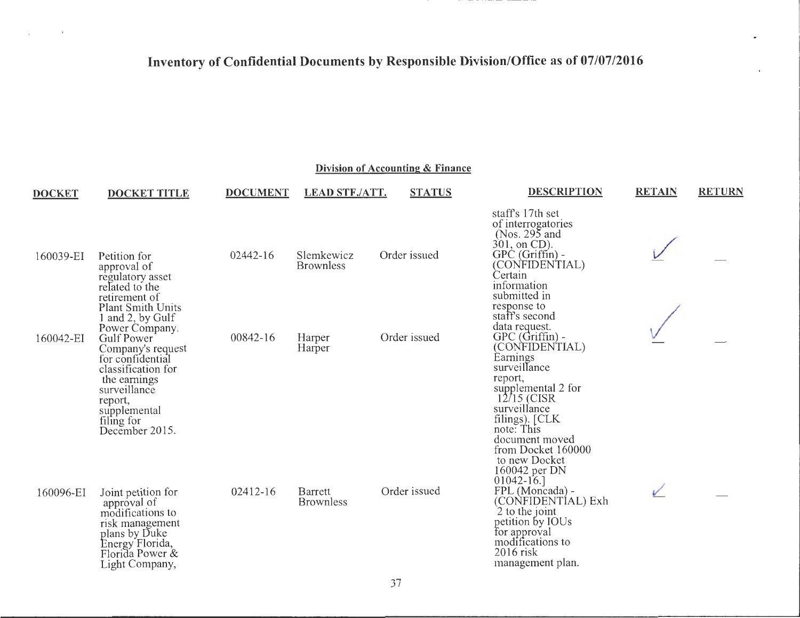$\ddot{\phantom{0}}$ 

 $\sim 10^{-10}$  ).

 $\overline{1}$ 

| <b>DOCKET</b> | <b>DOCKET TITLE</b>                                                                                                                               | <b>DOCUMENT</b> | <b>LEAD STF./ATT.</b>              | <b>STATUS</b> | <b>DESCRIPTION</b>                                                                                                                                                                   | <b>RETAIN</b> | <b>RETURN</b> |
|---------------|---------------------------------------------------------------------------------------------------------------------------------------------------|-----------------|------------------------------------|---------------|--------------------------------------------------------------------------------------------------------------------------------------------------------------------------------------|---------------|---------------|
| 160039-EI     | Petition for                                                                                                                                      | 02442-16        | Slemkewicz                         | Order issued  | staff's 17th set<br>of interrogatories<br>(Nos. $295$ and<br>301, on CD).<br>$GPC$ (Griffin) -                                                                                       |               |               |
|               | approval of<br>regulatory asset<br>related to the<br>retirement of<br><b>Plant Smith Units</b>                                                    |                 | <b>Brownless</b>                   |               | (CONFIDENTIAL)<br>Certain<br>information<br>submitted in<br>response to                                                                                                              |               |               |
| 160042-EI     | 1 and 2, by Gulf<br>Power Company.<br>Gulf Power<br>Company's request<br>for confidential<br>classification for                                   | 00842-16        | Harper<br>Harper                   | Order issued  | staff's second<br>data request.<br>$GPC$ ( $Griffin$ ) -<br>(CONFIDENTIAL)<br>Earnings<br>surveillance                                                                               |               |               |
|               | the earnings<br>surveillance<br>report,<br>supplemental<br>filing for<br>December 2015.                                                           |                 |                                    |               | report,<br>supplemental 2 for<br>$12/15$ (CISR)<br>surveillance<br>filings). [CLK<br>note: This<br>document moved<br>from Docket 160000<br>to new Docket                             |               |               |
| 160096-EI     | Joint petition for<br>approval of<br>modifications to<br>risk management<br>plans by Duke<br>Energy Florida,<br>Florida Power &<br>Light Company, | $02412 - 16$    | <b>Barrett</b><br><b>Brownless</b> | Order issued  | 160042 per DN<br>$01042 - 16.$<br>FPL (Moncada) -<br>(CONFIDENTÍAL) Exh<br>2 to the joint<br>petition by IOUs<br>for approval<br>modifications to<br>$2016$ risk<br>management plan. |               |               |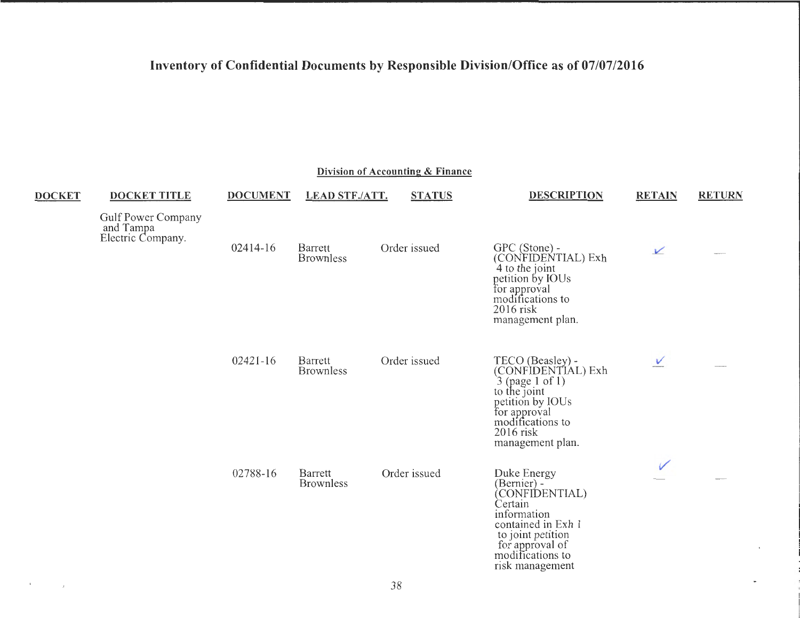|               |                                                             |                 |                             | Division of Accounting & Finance |                                                                                                                                                                             |               |               |
|---------------|-------------------------------------------------------------|-----------------|-----------------------------|----------------------------------|-----------------------------------------------------------------------------------------------------------------------------------------------------------------------------|---------------|---------------|
| <b>DOCKET</b> | <b>DOCKET TITLE</b>                                         | <b>DOCUMENT</b> | <b>LEAD STF./ATT.</b>       | <b>STATUS</b>                    | <b>DESCRIPTION</b>                                                                                                                                                          | <b>RETAIN</b> | <b>RETURN</b> |
|               | <b>Gulf Power Company</b><br>and Tampa<br>Electric Company. |                 |                             |                                  |                                                                                                                                                                             |               |               |
|               |                                                             | 02414-16        | Barrett<br><b>Brownless</b> | Order issued                     | GPC (Stone) -<br>(CONFIDENTIAL) Exh<br>4 to the joint<br>petition by IOUs<br>for approval<br>modifications to<br>$2016$ risk<br>management plan.                            | $\sqrt{ }$    |               |
|               |                                                             | $02421 - 16$    | Barrett<br><b>Brownless</b> | Order issued                     | TECO (Beasley) -<br>(CONFIDENTIAL) Exh<br>$3$ (page 1 of 1)<br>to the joint<br>petition by IOUs<br>for approval<br>modifications to<br>2016 risk<br>management plan.        | $\vee$        |               |
|               |                                                             | 02788-16        | Barrett<br><b>Brownless</b> | Order issued                     | Duke Energy<br>(Bernier) -<br>(CONFIDENTIAL)<br>Certain<br>information<br>contained in Exh 1<br>to joint petition<br>for approval of<br>modifications to<br>risk management |               |               |

 $\mathcal{F}^{\mathcal{F}}$  and  $\mathcal{F}^{\mathcal{F}}$  . In particular, we have  $\mathcal{F}^{\mathcal{F}}$ 

۰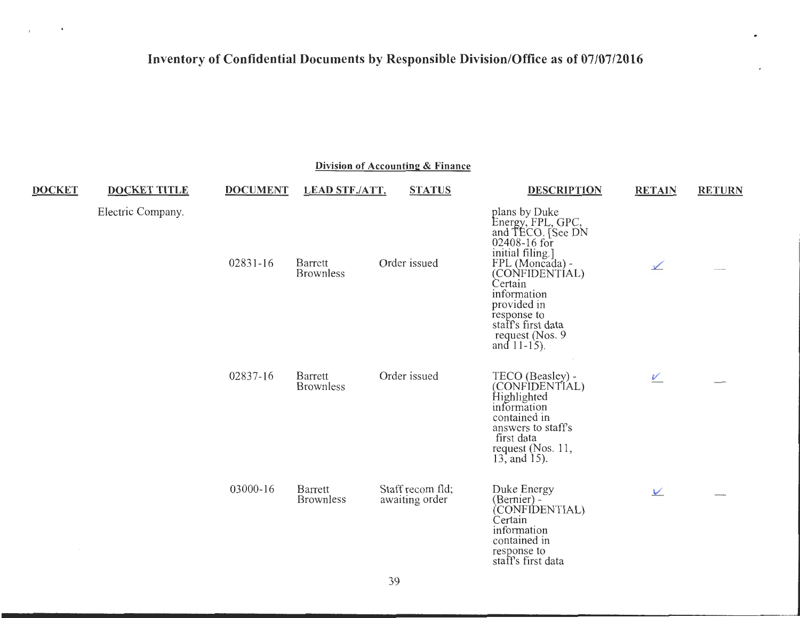$\sim 10^{-10}$  M  $_{\odot}$ 

 $\bar{t}$ 

| Division of Accounting & Finance |                     |                 |                             |                                    |                                                                                                                                                                                                                                                      |               |               |  |  |
|----------------------------------|---------------------|-----------------|-----------------------------|------------------------------------|------------------------------------------------------------------------------------------------------------------------------------------------------------------------------------------------------------------------------------------------------|---------------|---------------|--|--|
| <b>DOCKET</b>                    | <b>DOCKET TITLE</b> | <b>DOCUMENT</b> | <b>LEAD STF./ATT.</b>       | <b>STATUS</b>                      | <b>DESCRIPTION</b>                                                                                                                                                                                                                                   | <b>RETAIN</b> | <b>RETURN</b> |  |  |
|                                  | Electric Company.   | 02831-16        | Barrett<br><b>Brownless</b> | Order issued                       | plans by Duke<br>Energy, FPL, GPC,<br>and TECO. [See DN<br>02408-16 for<br>initial filing.]<br>FPL (Moncada) -<br>(CONFIDENTÍAL)<br>Certain<br>information<br>provided in<br>response to<br>staff's first data<br>request (Nos. 9)<br>and $11-15$ ). | $\sqrt{}$     |               |  |  |
|                                  |                     | 02837-16        | Barrett<br><b>Brownless</b> | Order issued                       | TECO (Beasley) -<br>(CONFIDENTIAL)<br>Highlighted<br>information<br>contained in<br>answers to staff's<br>first data<br>request $(Nos. 11,$<br>13, and 15).                                                                                          | V             |               |  |  |
|                                  |                     | 03000-16        | Barrett<br><b>Brownless</b> | Staff recom fld;<br>awaiting order | Duke Energy<br>(Bernier) -<br>(CONFIDENTIAL)<br>Certain<br>information<br>contained in<br>response to<br>staff's first data                                                                                                                          | $\vee$        |               |  |  |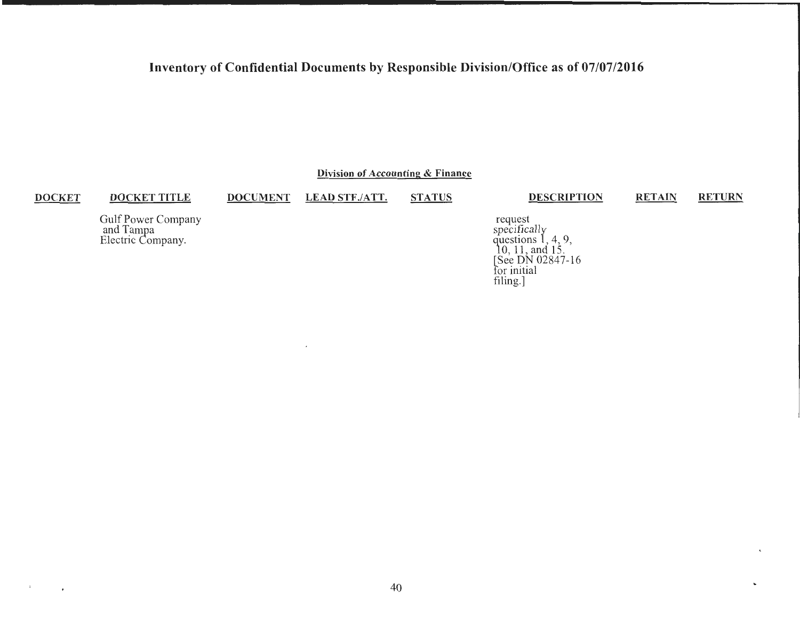Division of Accounting & Finance

#### **DOCKET**

 $\mathbf{x}$ 

 $\bullet$ 

**DOCKET TITLE DOCUMENT** 

 $\overline{\phantom{a}}$ 

**LEAD STF./ATT. STATUS**  **DESCRIPTION** 

**RETAIN RETURN** 

 $\epsilon$ 

Gulf Power Company<br>and Tampa<br>Electric Company.

request<br>specifically<br>questions 1, 4, 9,<br> $10, 11$ , and 15.<br>[See DN 02847-16 for initial  $filling.]$